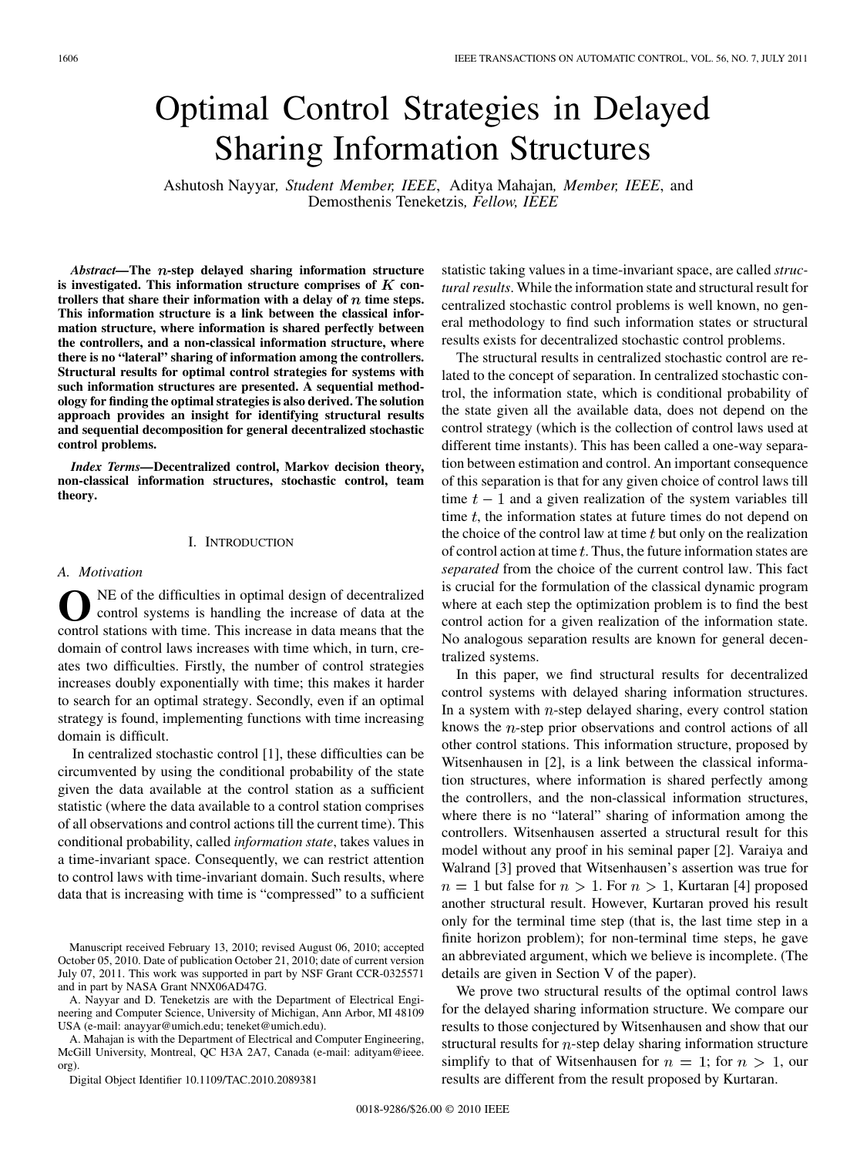# Optimal Control Strategies in Delayed Sharing Information Structures

Ashutosh Nayyar*, Student Member, IEEE*, Aditya Mahajan*, Member, IEEE*, and Demosthenis Teneketzis*, Fellow, IEEE*

*Abstract*—The *n*-step delayed sharing information structure is investigated. This information structure comprises of  $K$  con**trollers that share their information with a delay of time steps. This information structure is a link between the classical information structure, where information is shared perfectly between the controllers, and a non-classical information structure, where there is no "lateral" sharing of information among the controllers. Structural results for optimal control strategies for systems with such information structures are presented. A sequential methodology for finding the optimal strategies is also derived. The solution approach provides an insight for identifying structural results and sequential decomposition for general decentralized stochastic control problems.**

*Index Terms—***Decentralized control, Markov decision theory, non-classical information structures, stochastic control, team theory.**

#### I. INTRODUCTION

#### *A. Motivation*

**O**NE of the difficulties in optimal design of decentralized control systems is handling the increase of data at the control stations with time. This increase in data means that the domain of control laws increases with time which, in turn, creates two difficulties. Firstly, the number of control strategies increases doubly exponentially with time; this makes it harder to search for an optimal strategy. Secondly, even if an optimal strategy is found, implementing functions with time increasing domain is difficult.

In centralized stochastic control [1], these difficulties can be circumvented by using the conditional probability of the state given the data available at the control station as a sufficient statistic (where the data available to a control station comprises of all observations and control actions till the current time). This conditional probability, called *information state*, takes values in a time-invariant space. Consequently, we can restrict attention to control laws with time-invariant domain. Such results, where data that is increasing with time is "compressed" to a sufficient

A. Nayyar and D. Teneketzis are with the Department of Electrical Engineering and Computer Science, University of Michigan, Ann Arbor, MI 48109 USA (e-mail: anayyar@umich.edu; teneket@umich.edu).

A. Mahajan is with the Department of Electrical and Computer Engineering, McGill University, Montreal, QC H3A 2A7, Canada (e-mail: adityam@ieee. org).

Digital Object Identifier 10.1109/TAC.2010.2089381

statistic taking values in a time-invariant space, are called *structural results*. While the information state and structural result for centralized stochastic control problems is well known, no general methodology to find such information states or structural results exists for decentralized stochastic control problems.

The structural results in centralized stochastic control are related to the concept of separation. In centralized stochastic control, the information state, which is conditional probability of the state given all the available data, does not depend on the control strategy (which is the collection of control laws used at different time instants). This has been called a one-way separation between estimation and control. An important consequence of this separation is that for any given choice of control laws till time  $t-1$  and a given realization of the system variables till time  $t$ , the information states at future times do not depend on the choice of the control law at time  $t$  but only on the realization of control action at time  $t$ . Thus, the future information states are *separated* from the choice of the current control law. This fact is crucial for the formulation of the classical dynamic program where at each step the optimization problem is to find the best control action for a given realization of the information state. No analogous separation results are known for general decentralized systems.

In this paper, we find structural results for decentralized control systems with delayed sharing information structures. In a system with  $n$ -step delayed sharing, every control station knows the  $n$ -step prior observations and control actions of all other control stations. This information structure, proposed by Witsenhausen in [2], is a link between the classical information structures, where information is shared perfectly among the controllers, and the non-classical information structures, where there is no "lateral" sharing of information among the controllers. Witsenhausen asserted a structural result for this model without any proof in his seminal paper [2]. Varaiya and Walrand [3] proved that Witsenhausen's assertion was true for  $n = 1$  but false for  $n > 1$ . For  $n > 1$ , Kurtaran [4] proposed another structural result. However, Kurtaran proved his result only for the terminal time step (that is, the last time step in a finite horizon problem); for non-terminal time steps, he gave an abbreviated argument, which we believe is incomplete. (The details are given in Section V of the paper).

We prove two structural results of the optimal control laws for the delayed sharing information structure. We compare our results to those conjectured by Witsenhausen and show that our structural results for  $n$ -step delay sharing information structure simplify to that of Witsenhausen for  $n = 1$ ; for  $n > 1$ , our results are different from the result proposed by Kurtaran.

Manuscript received February 13, 2010; revised August 06, 2010; accepted October 05, 2010. Date of publication October 21, 2010; date of current version July 07, 2011. This work was supported in part by NSF Grant CCR-0325571 and in part by NASA Grant NNX06AD47G.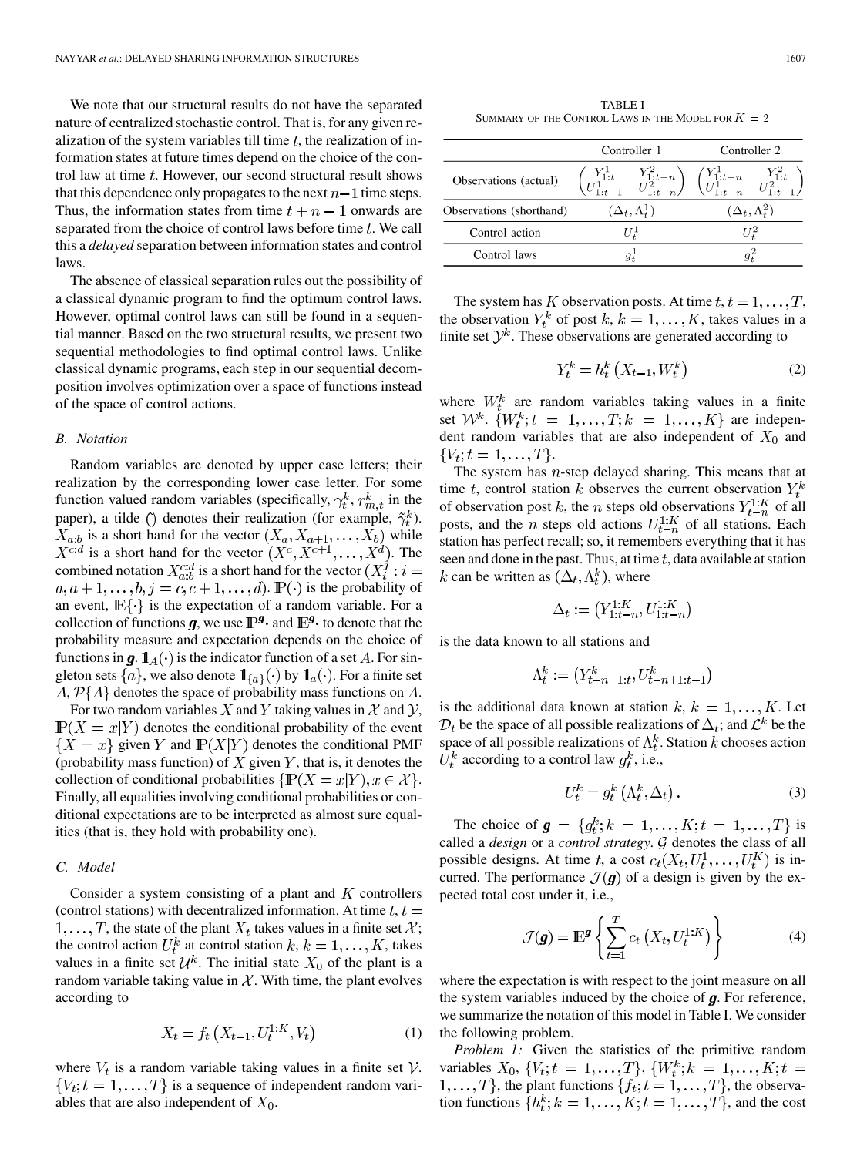We note that our structural results do not have the separated nature of centralized stochastic control. That is, for any given realization of the system variables till time  $t$ , the realization of information states at future times depend on the choice of the control law at time  $t$ . However, our second structural result shows that this dependence only propagates to the next  $n-1$  time steps. Thus, the information states from time  $t + n - 1$  onwards are separated from the choice of control laws before time  $t$ . We call this a *delayed* separation between information states and control laws.

The absence of classical separation rules out the possibility of a classical dynamic program to find the optimum control laws. However, optimal control laws can still be found in a sequential manner. Based on the two structural results, we present two sequential methodologies to find optimal control laws. Unlike classical dynamic programs, each step in our sequential decomposition involves optimization over a space of functions instead of the space of control actions.

#### *B. Notation*

Random variables are denoted by upper case letters; their realization by the corresponding lower case letter. For some function valued random variables (specifically,  $\gamma_t^k$ ,  $r_{m,t}^k$  in the paper), a tilde () denotes their realization (for example,  $\tilde{\gamma}_t^k$ ).  $X_{a:b}$  is a short hand for the vector  $(X_a, X_{a+1}, \ldots, X_b)$  while  $X^{c:d}$  is a short hand for the vector  $(X^c, X^{c+1}, \ldots, X^d)$ . The combined notation  $X_{a:b}^{c:d}$  is a short hand for the vector  $(X_i^j : i =$  $a, a+1, \ldots, b, j = c, c+1, \ldots, d$ .  $\mathbb{P}(\cdot)$  is the probability of an event,  $\mathbb{E}\{\cdot\}$  is the expectation of a random variable. For a collection of functions  $g$ , we use  $\mathbb{P}^{\mathcal{G}}$  and  $\mathbb{E}^{\mathcal{G}}$  to denote that the probability measure and expectation depends on the choice of functions in  $\mathbf{g}$ .  $\mathbb{1}_A(\cdot)$  is the indicator function of a set A. For singleton sets  $\{a\}$ , we also denote  $\mathbb{1}_{\{a\}}(\cdot)$  by  $\mathbb{1}_a(\cdot)$ . For a finite set  $A, P\{A\}$  denotes the space of probability mass functions on A.

For two random variables X and Y taking values in X and Y,  $\mathbb{P}(X = x|Y)$  denotes the conditional probability of the event  ${X = x}$  given Y and  $\mathbb{P}(X|Y)$  denotes the conditional PMF (probability mass function) of  $X$  given  $Y$ , that is, it denotes the collection of conditional probabilities  $\{P(X = x|Y), x \in \mathcal{X}\}\.$ Finally, all equalities involving conditional probabilities or conditional expectations are to be interpreted as almost sure equalities (that is, they hold with probability one).

## *C. Model*

Consider a system consisting of a plant and  $K$  controllers (control stations) with decentralized information. At time  $t, t =$  $1, \ldots, T$ , the state of the plant  $X_t$  takes values in a finite set  $\mathcal{X}$ ; the control action  $U_t^k$  at control station  $k, k = 1, \ldots, K$ , takes values in a finite set  $\mathcal{U}^k$ . The initial state  $X_0$  of the plant is a random variable taking value in  $X$ . With time, the plant evolves according to

$$
X_t = f_t\left(X_{t-1}, U_t^{1:K}, V_t\right) \tag{1}
$$

where  $V_t$  is a random variable taking values in a finite set  $V$ .  $\{V_t; t = 1, \ldots, T\}$  is a sequence of independent random variables that are also independent of  $X_0$ .

TABLE I SUMMARY OF THE CONTROL LAWS IN THE MODEL FOR  $K = 2$ 

|                          | Controller 1            |                                                                                                                                                                         | Controller 2              |  |
|--------------------------|-------------------------|-------------------------------------------------------------------------------------------------------------------------------------------------------------------------|---------------------------|--|
| Observations (actual)    |                         | $\begin{pmatrix} Y^1_{1:t} & Y^2_{1:t-n} \\ U^1_{1:t-1} & U^2_{1:t-n} \end{pmatrix} \begin{pmatrix} Y^1_{1:t-n} & Y^2_{1:t} \\ U^1_{1:t-n} & U^2_{1:t-1} \end{pmatrix}$ |                           |  |
| Observations (shorthand) | $(\Delta_t, \Lambda^1)$ |                                                                                                                                                                         | $(\Delta_t, \Lambda_t^2)$ |  |
| Control action           | $U^1$                   |                                                                                                                                                                         | 112                       |  |
| Control laws             |                         |                                                                                                                                                                         |                           |  |
|                          |                         |                                                                                                                                                                         |                           |  |

The system has K observation posts. At time  $t, t = 1, \ldots, T$ , the observation  $Y_t^k$  of post  $k, k = 1, ..., K$ , takes values in a finite set  $\mathcal{Y}^k$ . These observations are generated according to

$$
Y_t^k = h_t^k \left( X_{t-1}, W_t^k \right) \tag{2}
$$

where  $W_t^k$  are random variables taking values in a finite set  $W^k$ .  $\{W^k_t; t = 1, \ldots, T; k = 1, \ldots, K\}$  are independent random variables that are also independent of  $X_0$  and  ${V_t; t = 1, ..., T}.$ 

The system has  $n$ -step delayed sharing. This means that at time t, control station k observes the current observation  $Y_t^k$ of observation post k, the n steps old observations  $Y_{t-n}^{1:K}$  of all posts, and the *n* steps old actions  $U_{t-n}^{1:K}$  of all stations. Each station has perfect recall; so, it remembers everything that it has seen and done in the past. Thus, at time  $t$ , data available at station k can be written as  $(\Delta_t, \Lambda_t^k)$ , where

$$
\Delta_t:=\left(Y^{1:K}_{1:t-n},U^{1:K}_{1:t-n}\right)
$$

is the data known to all stations and

$$
\Lambda_t^k:=\left(Y_{t-n+1:t}^k,U_{t-n+1:t-1}^k\right)
$$

is the additional data known at station  $k, k = 1, \ldots, K$ . Let  $D_t$  be the space of all possible realizations of  $\Delta_t$ ; and  $\mathcal{L}^k$  be the space of all possible realizations of  $\Lambda_t^k$ . Station k chooses action  $U_t^k$  according to a control law  $g_t^k$ , i.e.,

$$
U_t^k = g_t^k \left( \Lambda_t^k, \Delta_t \right). \tag{3}
$$

The choice of  $g = \{g_t^k; k = 1, ..., K; t = 1, ..., T\}$  is called a *design* or a *control strategy*.  $G$  denotes the class of all possible designs. At time t, a cost  $c_t(X_t, U_t^1, \ldots, U_t^K)$  is incurred. The performance  $\mathcal{J}(\boldsymbol{g})$  of a design is given by the expected total cost under it, i.e.,

$$
\mathcal{J}(\boldsymbol{g}) = \mathbb{E}^{\boldsymbol{g}} \left\{ \sum_{t=1}^{T} c_t \left( X_t, U_t^{1:K} \right) \right\} \tag{4}
$$

where the expectation is with respect to the joint measure on all the system variables induced by the choice of  $g$ . For reference, we summarize the notation of this model in Table I. We consider the following problem.

*Problem 1:* Given the statistics of the primitive random variables  $X_0$ ,  $\{V_t; t = 1, ..., T\}$ ,  $\{W_t^k; k = 1, ..., K; t =$  $1, \ldots, T$ , the plant functions  $\{f_t; t = 1, \ldots, T\}$ , the observation functions  $\{h_t^k; k = 1, \ldots, K; t = 1, \ldots, T\}$ , and the cost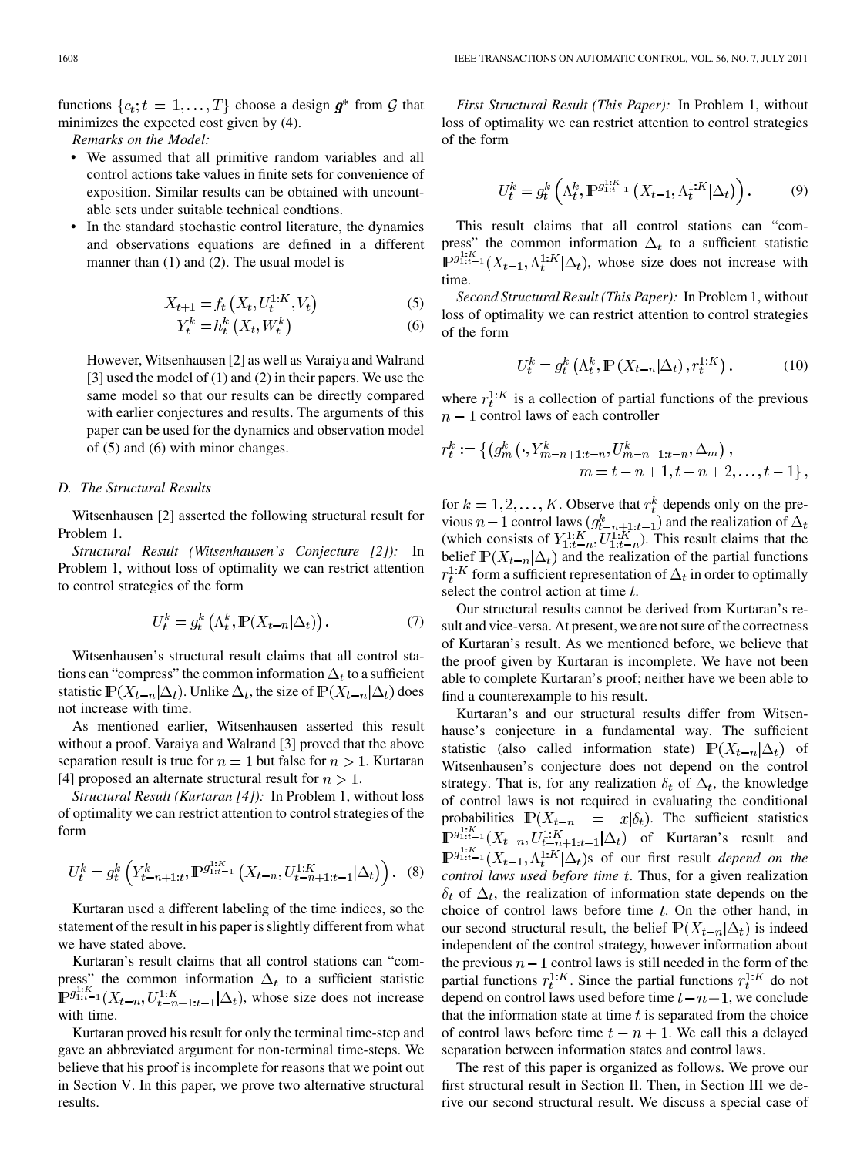functions  $\{c_t; t = 1, \ldots, T\}$  choose a design  $g^*$  from G that minimizes the expected cost given by (4).

*Remarks on the Model:*

- We assumed that all primitive random variables and all control actions take values in finite sets for convenience of exposition. Similar results can be obtained with uncountable sets under suitable technical condtions.
- In the standard stochastic control literature, the dynamics and observations equations are defined in a different manner than (1) and (2). The usual model is

$$
X_{t+1} = f_t\left(X_t, U_t^{1:K}, V_t\right) \tag{5}
$$

$$
Y_t^k = h_t^k \left( X_t, W_t^k \right) \tag{6}
$$

However, Witsenhausen [2] as well as Varaiya and Walrand [3] used the model of (1) and (2) in their papers. We use the same model so that our results can be directly compared with earlier conjectures and results. The arguments of this paper can be used for the dynamics and observation model of (5) and (6) with minor changes.

## *D. The Structural Results*

Witsenhausen [2] asserted the following structural result for Problem 1.

*Structural Result (Witsenhausen's Conjecture [2]):* In Problem 1, without loss of optimality we can restrict attention to control strategies of the form

$$
U_t^k = g_t^k \left( \Lambda_t^k, \mathbb{P}(X_{t-n} | \Delta_t) \right). \tag{7}
$$

Witsenhausen's structural result claims that all control stations can "compress" the common information  $\Delta_t$  to a sufficient statistic  $\mathbb{P}(X_{t-n}|\Delta_t)$ . Unlike  $\Delta_t$ , the size of  $\mathbb{P}(X_{t-n}|\Delta_t)$  does not increase with time.

As mentioned earlier, Witsenhausen asserted this result without a proof. Varaiya and Walrand [3] proved that the above separation result is true for  $n = 1$  but false for  $n > 1$ . Kurtaran [4] proposed an alternate structural result for  $n > 1$ .

*Structural Result (Kurtaran [4]):* In Problem 1, without loss of optimality we can restrict attention to control strategies of the form

$$
U_t^k = g_t^k \left( Y_{t-n+1:t}^k, \mathbb{P}^{g_{1:t-1}^{1:K}} \left( X_{t-n}, U_{t-n+1:t-1}^{1:K} | \Delta_t \right) \right). \tag{8}
$$

Kurtaran used a different labeling of the time indices, so the statement of the result in his paper is slightly different from what we have stated above.

Kurtaran's result claims that all control stations can "compress" the common information  $\Delta_t$  to a sufficient statistic  $\mathbb{P}^{g_{1:k-1}^{1:K}}(X_{t-n}, U_{t-n+1:t-1}^{1:K} | \Delta_t)$ , whose size does not increase with time.

Kurtaran proved his result for only the terminal time-step and gave an abbreviated argument for non-terminal time-steps. We believe that his proof is incomplete for reasons that we point out in Section V. In this paper, we prove two alternative structural results.

*First Structural Result (This Paper):* In Problem 1, without loss of optimality we can restrict attention to control strategies of the form

$$
U_t^k = g_t^k \left( \Lambda_t^k, \mathbb{P}^{g_{1:t-1}^{1:K}} \left( X_{t-1}, \Lambda_t^{1:K} | \Delta_t \right) \right). \tag{9}
$$

This result claims that all control stations can "compress" the common information  $\Delta_t$  to a sufficient statistic  $\mathbb{P}^{g_{1:t-1}^{1:K}}(X_{t-1}, \Lambda_t^{1:K}|\Delta_t)$ , whose size does not increase with time.

*Second Structural Result (This Paper):* In Problem 1, without loss of optimality we can restrict attention to control strategies of the form

$$
U_t^k = g_t^k \left( \Lambda_t^k, \mathbb{P} \left( X_{t-n} | \Delta_t \right), r_t^{1:K} \right). \tag{10}
$$

where  $r_t^{1:K}$  is a collection of partial functions of the previous  $n-1$  control laws of each controller

$$
r_t^k := \left\{ \left( g_m^k \left( \cdot, Y_{m-n+1:t-n}^k, U_{m-n+1:t-n}^k, \Delta_m \right) \right), \right. \\ \left. m = t - n + 1, t - n + 2, \ldots, t - 1 \right\},\
$$

for  $k = 1, 2, ..., K$ . Observe that  $r_t^k$  depends only on the previous  $n-1$  control laws  $(g_{t-n+1:t-1}^k)$  and the realization of (which consists of  $Y_{1:t-n}^{1:K}, U_{1:t-n}^{1:K}$ ). This result claims that the belief  $\mathbb{P}(X_{t-n}|\Delta_t)$  and the realization of the partial functions  $r_t^{1:K}$  form a sufficient representation of  $\Delta_t$  in order to optimally select the control action at time  $t$ .

Our structural results cannot be derived from Kurtaran's result and vice-versa. At present, we are not sure of the correctness of Kurtaran's result. As we mentioned before, we believe that the proof given by Kurtaran is incomplete. We have not been able to complete Kurtaran's proof; neither have we been able to find a counterexample to his result.

Kurtaran's and our structural results differ from Witsenhause's conjecture in a fundamental way. The sufficient statistic (also called information state)  $\mathbb{P}(X_{t-n}|\Delta_t)$  of Witsenhausen's conjecture does not depend on the control strategy. That is, for any realization  $\delta_t$  of  $\Delta_t$ , the knowledge of control laws is not required in evaluating the conditional probabilities  $\mathbb{P}(X_{t-n} = x | \delta_t)$ . The sufficient statistics  $\mathbb{P}^{g_{1:K-1}^{1:K}}(X_{t-n}, U_{t-n+1:t-1}^{1:K}|\Delta_t)$  of Kurtaran's result and  $\mathbb{P}^{g_{1:t-1}^{1:K}}(X_{t-1}, \Lambda_t^{1:K}|\Delta_t)$ s of our first result *depend on the control laws used before time t*. Thus, for a given realization  $\delta_t$  of  $\Delta_t$ , the realization of information state depends on the choice of control laws before time  $t$ . On the other hand, in our second structural result, the belief  $\mathbb{P}(X_{t-n}|\Delta_t)$  is indeed independent of the control strategy, however information about the previous  $n-1$  control laws is still needed in the form of the partial functions  $r_t^{1:K}$ . Since the partial functions  $r_t^{1:K}$  do not depend on control laws used before time  $t - n + 1$ , we conclude that the information state at time  $t$  is separated from the choice of control laws before time  $t - n + 1$ . We call this a delayed separation between information states and control laws.

The rest of this paper is organized as follows. We prove our first structural result in Section II. Then, in Section III we derive our second structural result. We discuss a special case of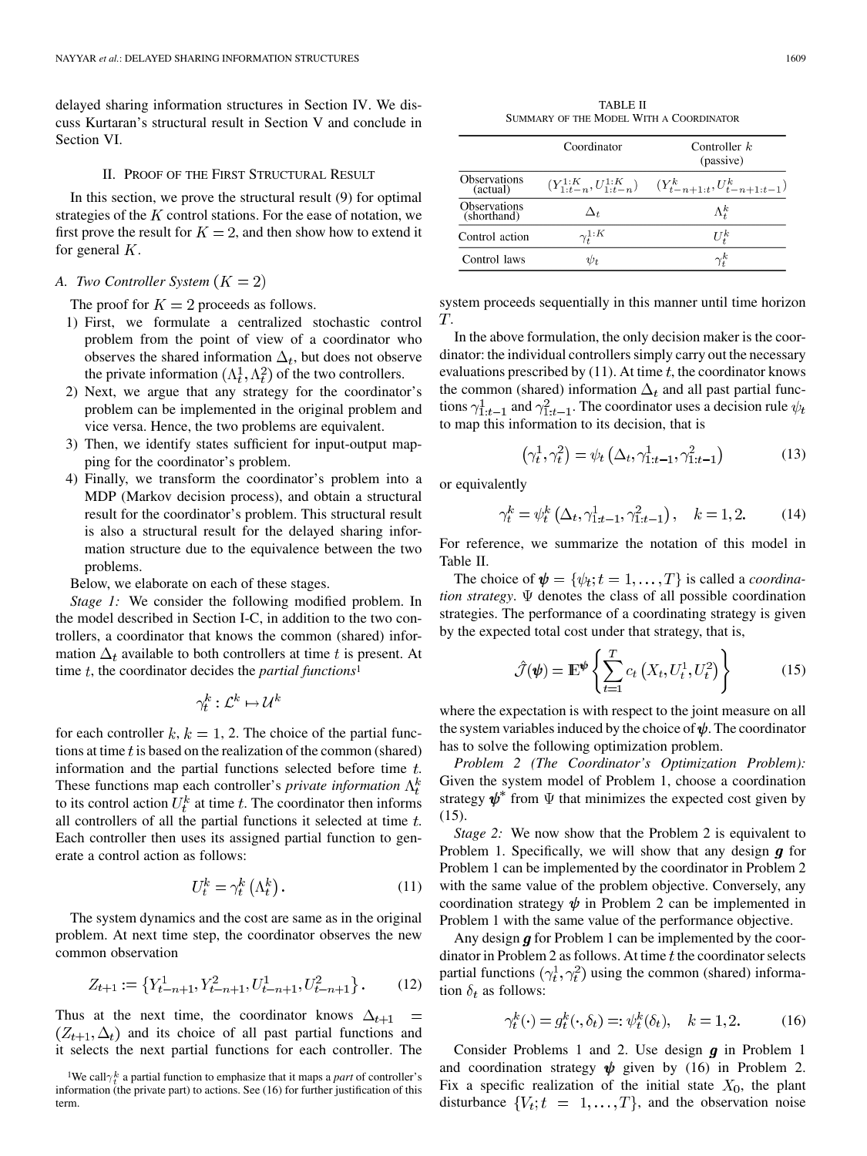delayed sharing information structures in Section IV. We discuss Kurtaran's structural result in Section V and conclude in Section VI.

## II. PROOF OF THE FIRST STRUCTURAL RESULT

In this section, we prove the structural result (9) for optimal strategies of the  $K$  control stations. For the ease of notation, we first prove the result for  $K = 2$ , and then show how to extend it for general  $K$ .

## *A. Two Controller System*

The proof for  $K = 2$  proceeds as follows.

- 1) First, we formulate a centralized stochastic control problem from the point of view of a coordinator who observes the shared information  $\Delta_t$ , but does not observe the private information  $(\Lambda_t^1, \Lambda_t^2)$  of the two controllers.
- 2) Next, we argue that any strategy for the coordinator's problem can be implemented in the original problem and vice versa. Hence, the two problems are equivalent.
- 3) Then, we identify states sufficient for input-output mapping for the coordinator's problem.
- 4) Finally, we transform the coordinator's problem into a MDP (Markov decision process), and obtain a structural result for the coordinator's problem. This structural result is also a structural result for the delayed sharing information structure due to the equivalence between the two problems.

Below, we elaborate on each of these stages.

*Stage 1:* We consider the following modified problem. In the model described in Section I-C, in addition to the two controllers, a coordinator that knows the common (shared) information  $\Delta_t$  available to both controllers at time t is present. At time  $t$ , the coordinator decides the *partial functions*<sup>1</sup>

$$
\gamma_t^k: \mathcal{L}^k \mapsto \mathcal{U}^k
$$

for each controller  $k, k = 1, 2$ . The choice of the partial functions at time  $t$  is based on the realization of the common (shared) information and the partial functions selected before time  $t$ . These functions map each controller's *private information*  $\Lambda_t^k$ to its control action  $U_t^k$  at time t. The coordinator then informs all controllers of all the partial functions it selected at time  $t$ . Each controller then uses its assigned partial function to generate a control action as follows:

$$
U_t^k = \gamma_t^k \left(\Lambda_t^k\right). \tag{11}
$$

The system dynamics and the cost are same as in the original problem. At next time step, the coordinator observes the new common observation

$$
Z_{t+1} := \left\{ Y_{t-n+1}^1, Y_{t-n+1}^2, U_{t-n+1}^1, U_{t-n+1}^2 \right\}.
$$
 (12)

Thus at the next time, the coordinator knows  $\Delta_{t+1}$  =  $(Z_{t+1}, \Delta_t)$  and its choice of all past partial functions and it selects the next partial functions for each controller. The

TABLE II SUMMARY OF THE MODEL WITH A COORDINATOR

|                                 | Coordinator        | Controller $k$<br>(passive)                                                 |
|---------------------------------|--------------------|-----------------------------------------------------------------------------|
| <b>Observations</b><br>(actual) |                    | $(Y_{1:t-n}^{1:K}, U_{1:t-n}^{1:K})$ $(Y_{t-n+1:t}^{k}, U_{t-n+1:t-1}^{k})$ |
| Observations<br>(shorthand)     | $\Delta_t$         | $\Lambda^k_i$                                                               |
| Control action                  | $\gamma^{1:K}_{t}$ | $U_{\tau}^{k}$                                                              |
| Control laws                    | $\psi_t$           | $\gamma^K_i$                                                                |

system proceeds sequentially in this manner until time horizon T.

In the above formulation, the only decision maker is the coordinator: the individual controllers simply carry out the necessary evaluations prescribed by  $(11)$ . At time t, the coordinator knows the common (shared) information  $\Delta_t$  and all past partial functions  $\gamma_{1:t-1}^1$  and  $\gamma_{1:t-1}^2$ . The coordinator uses a decision rule  $\psi_t$ to map this information to its decision, that is

$$
\left(\gamma_t^1, \gamma_t^2\right) = \psi_t\left(\Delta_t, \gamma_{1:t-1}^1, \gamma_{1:t-1}^2\right) \tag{13}
$$

or equivalently

$$
\gamma_t^k = \psi_t^k \left( \Delta_t, \gamma_{1:t-1}^1, \gamma_{1:t-1}^2 \right), \quad k = 1, 2. \tag{14}
$$

For reference, we summarize the notation of this model in Table II.

The choice of  $\psi = \{\psi_t; t = 1, \dots, T\}$  is called a *coordination strategy*.  $\Psi$  denotes the class of all possible coordination strategies. The performance of a coordinating strategy is given by the expected total cost under that strategy, that is,

$$
\hat{\mathcal{J}}(\boldsymbol{\psi}) = \mathbb{E}^{\boldsymbol{\psi}} \left\{ \sum_{t=1}^{T} c_t \left( X_t, U_t^1, U_t^2 \right) \right\} \tag{15}
$$

where the expectation is with respect to the joint measure on all the system variables induced by the choice of  $\psi$ . The coordinator has to solve the following optimization problem.

*Problem 2 (The Coordinator's Optimization Problem):* Given the system model of Problem 1, choose a coordination strategy  $\psi^*$  from  $\Psi$  that minimizes the expected cost given by (15).

*Stage 2:* We now show that the Problem 2 is equivalent to Problem 1. Specifically, we will show that any design  $g$  for Problem 1 can be implemented by the coordinator in Problem 2 with the same value of the problem objective. Conversely, any coordination strategy  $\psi$  in Problem 2 can be implemented in Problem 1 with the same value of the performance objective.

Any design  $g$  for Problem 1 can be implemented by the coordinator in Problem 2 as follows. At time  $t$  the coordinator selects partial functions  $(\gamma_t^1, \gamma_t^2)$  using the common (shared) information  $\delta_t$  as follows:

$$
\gamma_t^k(\cdot) = g_t^k(\cdot, \delta_t) =: \psi_t^k(\delta_t), \quad k = 1, 2. \tag{16}
$$

Consider Problems 1 and 2. Use design  $g$  in Problem 1 and coordination strategy  $\psi$  given by (16) in Problem 2. Fix a specific realization of the initial state  $X_0$ , the plant disturbance  ${V_t; t = 1, ..., T}$ , and the observation noise

<sup>&</sup>lt;sup>1</sup>We call  $\gamma_t^k$  a partial function to emphasize that it maps a *part* of controller's information (the private part) to actions. See (16) for further justification of this term.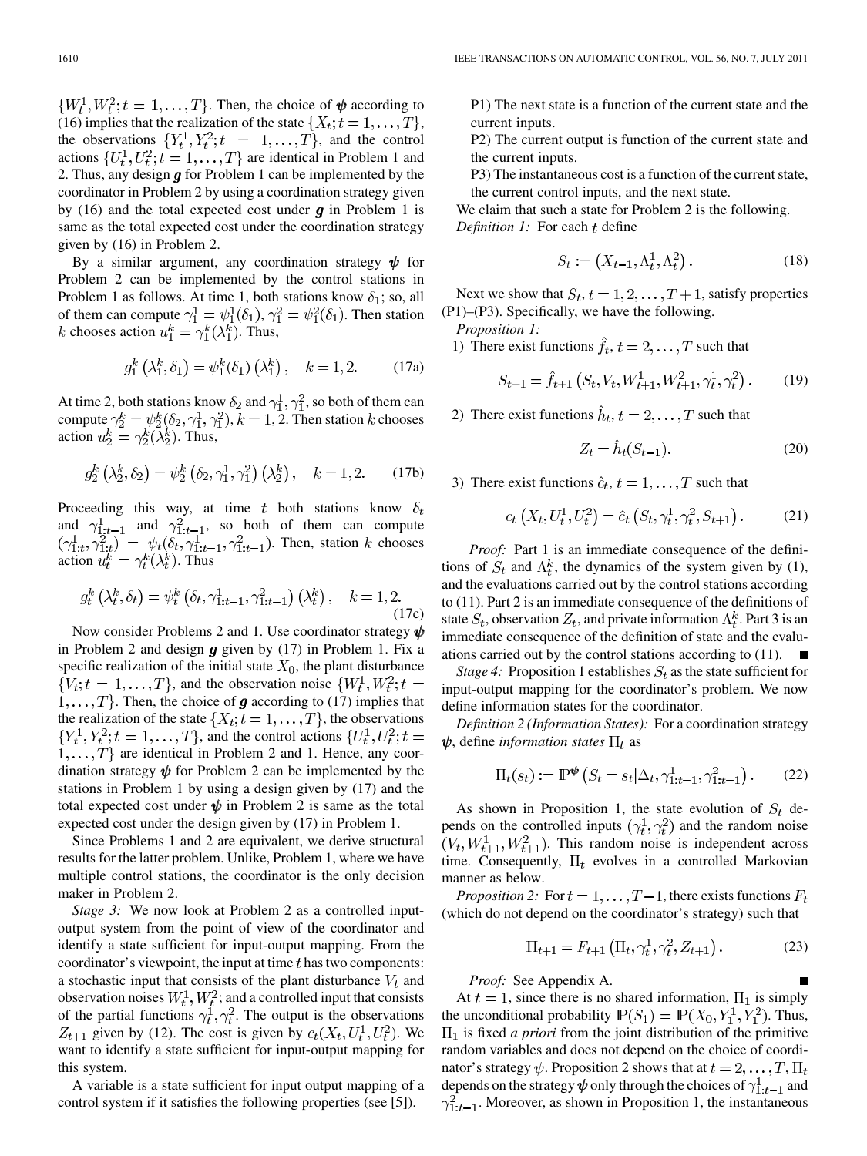$\{W_t^1, W_t^2, t = 1, \ldots, T\}$ . Then, the choice of  $\psi$  according to (16) implies that the realization of the state  $\{X_t; t = 1, \ldots, T\}$ , the observations  $\{Y_t^1, Y_t^2; t = 1, \ldots, T\}$ , and the control actions  $\{U_t^1, U_t^2; t = 1, \dots, T\}$  are identical in Problem 1 and 2. Thus, any design  $g$  for Problem 1 can be implemented by the coordinator in Problem 2 by using a coordination strategy given by (16) and the total expected cost under  $g$  in Problem 1 is same as the total expected cost under the coordination strategy given by (16) in Problem 2.

By a similar argument, any coordination strategy  $\psi$  for Problem 2 can be implemented by the control stations in Problem 1 as follows. At time 1, both stations know  $\delta_1$ ; so, all of them can compute  $\gamma_1^1 = \psi_1^1(\delta_1), \gamma_1^2 = \psi_1^2(\delta_1)$ . Then station chooses action  $u_1^k = \gamma_1^k(\lambda_1^k)$ . Thus,

$$
g_1^k (\lambda_1^k, \delta_1) = \psi_1^k(\delta_1) (\lambda_1^k), \quad k = 1, 2.
$$
 (17a)

At time 2, both stations know  $\delta_2$  and  $\gamma_1^1, \gamma_1^2$ , so both of them can compute  $\gamma_2^k = \psi_2^k(\delta_2, \gamma_1^1, \gamma_1^2)$ ,  $k = 1, 2$ . Then station k chooses action  $u_2^k = \gamma_2^k(\lambda_2^k)$ . Thus,

$$
g_2^k(\lambda_2^k, \delta_2) = \psi_2^k(\delta_2, \gamma_1^1, \gamma_1^2)(\lambda_2^k), \quad k = 1, 2.
$$
 (17b)

Proceeding this way, at time t both stations know  $\delta_t$ and  $\gamma_{1:t-1}^1$  and  $\gamma_{1:t-1}^2$ , so both of them can compute . Then, station  $k$  chooses action  $u_t^k = \gamma_t^k(\lambda_t^k)$ . Thus

$$
g_t^k\left(\lambda_t^k, \delta_t\right) = \psi_t^k\left(\delta_t, \gamma_{1:t-1}^1, \gamma_{1:t-1}^2\right)\left(\lambda_t^k\right), \quad k = 1, 2.
$$
\n(17c)

Now consider Problems 2 and 1. Use coordinator strategy  $\psi$ in Problem 2 and design  $g$  given by (17) in Problem 1. Fix a specific realization of the initial state  $X_0$ , the plant disturbance  ${V_t; t = 1, \ldots, T}$ , and the observation noise  ${W_t^1, W_t^2; t =$  $1, \ldots, T$ . Then, the choice of **g** according to (17) implies that the realization of the state  $\{X_t; t = 1, \ldots, T\}$ , the observations  ${Y_t^1, Y_t^2; t = 1, \ldots, T}$ , and the control actions  ${U_t^1, U_t^2; t =}$  $\{1, \ldots, T\}$  are identical in Problem 2 and 1. Hence, any coordination strategy  $\psi$  for Problem 2 can be implemented by the stations in Problem 1 by using a design given by (17) and the total expected cost under  $\psi$  in Problem 2 is same as the total expected cost under the design given by (17) in Problem 1.

Since Problems 1 and 2 are equivalent, we derive structural results for the latter problem. Unlike, Problem 1, where we have multiple control stations, the coordinator is the only decision maker in Problem 2.

*Stage 3:* We now look at Problem 2 as a controlled inputoutput system from the point of view of the coordinator and identify a state sufficient for input-output mapping. From the coordinator's viewpoint, the input at time  $t$  has two components: a stochastic input that consists of the plant disturbance  $V_t$  and observation noises  $W_t^1, W_t^2$ ; and a controlled input that consists of the partial functions  $\gamma_t^1, \gamma_t^2$ . The output is the observations  $Z_{t+1}$  given by (12). The cost is given by  $c_t(X_t, U_t^1, U_t^2)$ . We want to identify a state sufficient for input-output mapping for this system.

A variable is a state sufficient for input output mapping of a control system if it satisfies the following properties (see [5]).

P1) The next state is a function of the current state and the current inputs.

P2) The current output is function of the current state and the current inputs.

P3) The instantaneous cost is a function of the current state, the current control inputs, and the next state.

We claim that such a state for Problem 2 is the following. *Definition 1:* For each t define

$$
S_t := \left(X_{t-1}, \Lambda_t^1, \Lambda_t^2\right). \tag{18}
$$

Next we show that  $S_t, t = 1, 2, \ldots, T+1$ , satisfy properties (P1)–(P3). Specifically, we have the following.

*Proposition 1:*

1) There exist functions  $\hat{f}_t$ ,  $t = 2, \dots, T$  such that

$$
S_{t+1} = \hat{f}_{t+1} \left( S_t, V_t, W_{t+1}^1, W_{t+1}^2, \gamma_t^1, \gamma_t^2 \right). \tag{19}
$$

2) There exist functions  $\hat{h}_t$ ,  $t = 2, \dots, T$  such that

$$
Z_t = \hat{h}_t(S_{t-1}).\tag{20}
$$

3) There exist functions  $\hat{c}_t$ ,  $t = 1, \dots, T$  such that

$$
c_t\left(X_t, U_t^1, U_t^2\right) = \hat{c}_t\left(S_t, \gamma_t^1, \gamma_t^2, S_{t+1}\right). \tag{21}
$$

*Proof:* Part 1 is an immediate consequence of the definitions of  $S_t$  and  $\Lambda_t^k$ , the dynamics of the system given by (1), and the evaluations carried out by the control stations according to (11). Part 2 is an immediate consequence of the definitions of state  $S_t$ , observation  $Z_t$ , and private information  $\Lambda_t^k$ . Part 3 is an immediate consequence of the definition of state and the evaluations carried out by the control stations according to (11).  $\blacksquare$ 

*Stage 4:* Proposition 1 establishes  $S_t$  as the state sufficient for input-output mapping for the coordinator's problem. We now define information states for the coordinator.

*Definition 2 (Information States):* For a coordination strategy  $\psi$ , define *information states*  $\Pi_t$  as

$$
\Pi_t(s_t) := \mathbb{P}^{\Psi} \left( S_t = s_t | \Delta_t, \gamma_{1:t-1}^1, \gamma_{1:t-1}^2 \right). \tag{22}
$$

As shown in Proposition 1, the state evolution of  $S_t$  depends on the controlled inputs  $(\gamma_t^1, \gamma_t^2)$  and the random noise  $(V_t, W_{t+1}^1, W_{t+1}^2)$ . This random noise is independent across time. Consequently,  $\Pi_t$  evolves in a controlled Markovian manner as below.

*Proposition 2:* For  $t = 1, ..., T-1$ , there exists functions  $F_t$ (which do not depend on the coordinator's strategy) such that

$$
\Pi_{t+1} = F_{t+1} \left( \Pi_t, \gamma_t^1, \gamma_t^2, Z_{t+1} \right).
$$
 (23)

*Proof:* See Appendix A.

At  $t = 1$ , since there is no shared information,  $\Pi_1$  is simply the unconditional probability  $\mathbb{P}(S_1) = \mathbb{P}(X_0, Y_1^1, Y_1^2)$ . Thus,  $\Pi_1$  is fixed *a priori* from the joint distribution of the primitive random variables and does not depend on the choice of coordinator's strategy  $\psi$ . Proposition 2 shows that at  $t = 2, \dots, T, \Pi_t$ depends on the strategy  $\psi$  only through the choices of  $\gamma_{1:t-1}^1$  and  $\gamma_{1:t-1}^2$ . Moreover, as shown in Proposition 1, the instantaneous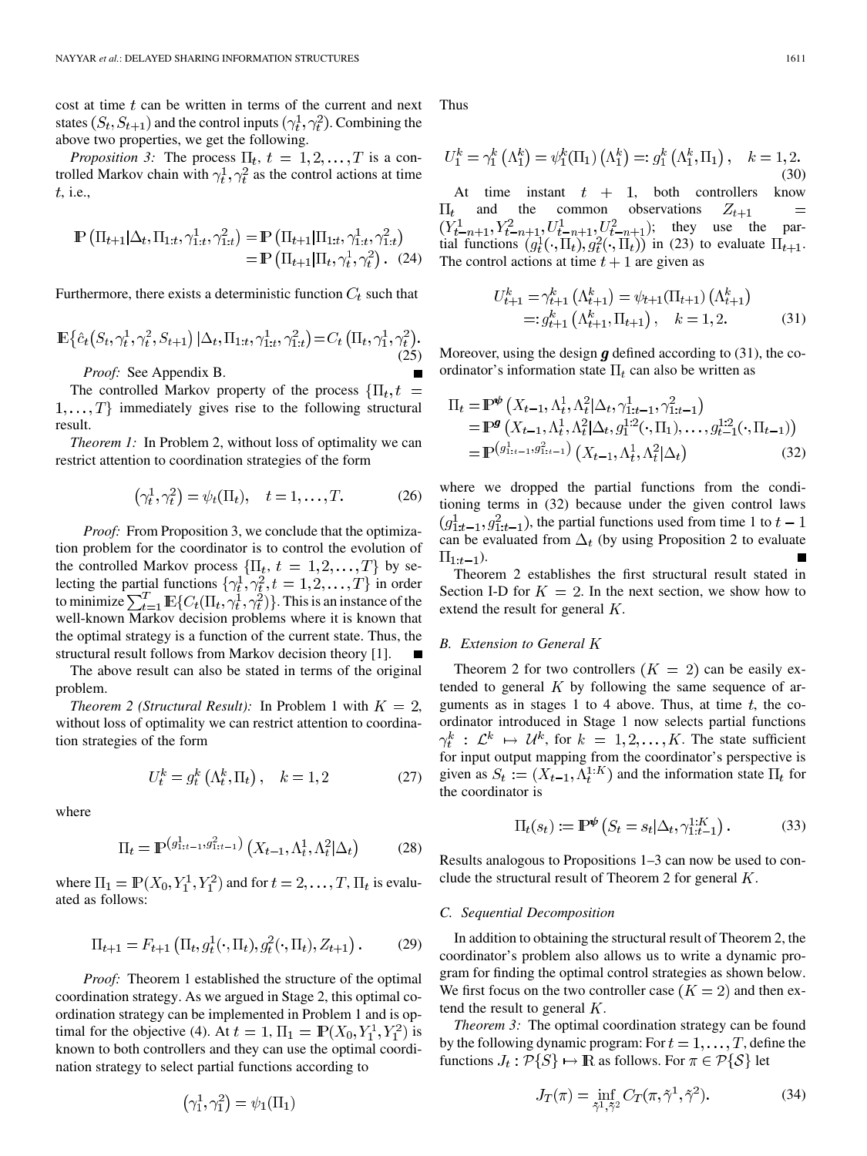cost at time  $t$  can be written in terms of the current and next states  $(S_t, S_{t+1})$  and the control inputs  $(\gamma_t^1, \gamma_t^2)$ . Combining the above two properties, we get the following.

*Proposition 3:* The process  $\Pi_t$ ,  $t = 1, 2, \dots, T$  is a controlled Markov chain with  $\gamma_t^1, \gamma_t^2$  as the control actions at time , i.e.,

$$
\mathbb{P}\left(\Pi_{t+1}|\Delta_t, \Pi_{1:t}, \gamma_{1:t}^1, \gamma_{1:t}^2\right) = \mathbb{P}\left(\Pi_{t+1}|\Pi_{1:t}, \gamma_{1:t}^1, \gamma_{1:t}^2\right) \\
= \mathbb{P}\left(\Pi_{t+1}|\Pi_t, \gamma_t^1, \gamma_t^2\right). (24)
$$

Furthermore, there exists a deterministic function  $C_t$  such that

$$
\mathbb{E}\{\hat{c}_t(S_t, \gamma_t^1, \gamma_t^2, S_{t+1}) | \Delta_t, \Pi_{1:t}, \gamma_{1:t}^1, \gamma_{1:t}^2\} = C_t \left(\Pi_t, \gamma_1^1, \gamma_t^2\right).
$$
\nProof: See Appendix B

*Proof:* See Appendix B.

The controlled Markov property of the process  $\{\Pi_t, t =$  $1, \ldots, T$  immediately gives rise to the following structural result.

*Theorem 1:* In Problem 2, without loss of optimality we can restrict attention to coordination strategies of the form

$$
\left(\gamma_t^1, \gamma_t^2\right) = \psi_t(\Pi_t), \quad t = 1, \dots, T. \tag{26}
$$

*Proof:* From Proposition 3, we conclude that the optimization problem for the coordinator is to control the evolution of the controlled Markov process  $\{\Pi_t, t = 1, 2, \dots, T\}$  by selecting the partial functions  $\{\gamma_t^1, \gamma_t^2, t = 1, 2, \ldots, T\}$  in order to minimize  $\sum_{t=1}^{I} \mathbb{E} \{ C_t(\Pi_t, \gamma_t^1, \gamma_t^2) \}$ . This is an instance of the well-known Markov decision problems where it is known that the optimal strategy is a function of the current state. Thus, the structural result follows from Markov decision theory [1].

The above result can also be stated in terms of the original problem.

*Theorem 2 (Structural Result):* In Problem 1 with  $K = 2$ , without loss of optimality we can restrict attention to coordination strategies of the form

$$
U_t^k = g_t^k \left(\Lambda_t^k, \Pi_t\right), \quad k = 1, 2 \tag{27}
$$

where

$$
\Pi_t = \mathbb{P}^{\left(g_{1:t-1}^1, g_{1:t-1}^2\right)}\left(X_{t-1}, \Lambda_t^1, \Lambda_t^2 | \Delta_t\right) \tag{28}
$$

where  $\Pi_1 = \mathbb{P}(X_0, Y_1^1, Y_1^2)$  and for  $t = 2, \dots, T$ ,  $\Pi_t$  is evaluated as follows:

$$
\Pi_{t+1} = F_{t+1} \left( \Pi_t, g_t^1(\cdot, \Pi_t), g_t^2(\cdot, \Pi_t), Z_{t+1} \right).
$$
 (29)

*Proof:* Theorem 1 established the structure of the optimal coordination strategy. As we argued in Stage 2, this optimal coordination strategy can be implemented in Problem 1 and is optimal for the objective (4). At  $t = 1$ ,  $\Pi_1 = \mathbb{P}(X_0, Y_1^1, Y_1^2)$  is known to both controllers and they can use the optimal coordination strategy to select partial functions according to

$$
\left(\gamma_1^1, \gamma_1^2\right) = \psi_1(\Pi_1)
$$

Thus

$$
U_1^k = \gamma_1^k (\Lambda_1^k) = \psi_1^k (\Pi_1) (\Lambda_1^k) =: g_1^k (\Lambda_1^k, \Pi_1), \quad k = 1, 2.
$$
\n(30)

At time instant  $t + 1$ , both controllers know  $\Pi_t$  and the common observations  $Z_{t+1}$  $\equiv$  $(Y_{t-n+1}^1, Y_{t-n+1}^2, U_{t-n+1}^1, U_{t-n+1}^2);$  they use the partial functions  $(g_t^1(\cdot, \Pi_t), g_t^2(\cdot, \Pi_t))$  in (23) to evaluate  $\Pi_{t+1}$ . The control actions at time  $t + 1$  are given as

$$
U_{t+1}^k = \gamma_{t+1}^k \left( \Lambda_{t+1}^k \right) = \psi_{t+1}(\Pi_{t+1}) \left( \Lambda_{t+1}^k \right)
$$
  
=:  $g_{t+1}^k \left( \Lambda_{t+1}^k, \Pi_{t+1} \right), \quad k = 1, 2.$  (31)

Moreover, using the design  $g$  defined according to (31), the coordinator's information state  $\Pi_t$  can also be written as

$$
\Pi_{t} = \mathbb{P}^{\Phi}\left(X_{t-1}, \Lambda_{t}^{1}, \Lambda_{t}^{2} | \Delta_{t}, \gamma_{1:t-1}^{1}, \gamma_{1:t-1}^{2}\right) \n= \mathbb{P}^{\mathbf{g}}\left(X_{t-1}, \Lambda_{t}^{1}, \Lambda_{t}^{2} | \Delta_{t}, g_{1}^{1:2}(\cdot, \Pi_{1}), \dots, g_{t-1}^{1:2}(\cdot, \Pi_{t-1})\right) \n= \mathbb{P}^{\left(g_{1:t-1}^{1}, g_{1:t-1}^{2}\right)}\left(X_{t-1}, \Lambda_{t}^{1}, \Lambda_{t}^{2} | \Delta_{t}\right)
$$
\n(32)

where we dropped the partial functions from the conditioning terms in (32) because under the given control laws  $(g_{1:t-1}^1, g_{1:t-1}^2)$ , the partial functions used from time 1 to  $t-1$ can be evaluated from  $\Delta_t$  (by using Proposition 2 to evaluate  $\Pi_{1:t-1}$ ).

Theorem 2 establishes the first structural result stated in Section I-D for  $K = 2$ . In the next section, we show how to extend the result for general  $K$ .

# *B. Extension to General*

Theorem 2 for two controllers  $(K = 2)$  can be easily extended to general  $K$  by following the same sequence of arguments as in stages 1 to 4 above. Thus, at time  $t$ , the coordinator introduced in Stage 1 now selects partial functions  $\gamma_t^k$  :  $\mathcal{L}^k \mapsto \mathcal{U}^k$ , for  $k = 1, 2, ..., K$ . The state sufficient for input output mapping from the coordinator's perspective is given as  $S_t := (X_{t-1}, \Lambda_t^{1:K})$  and the information state  $\Pi_t$  for the coordinator is

$$
\Pi_t(s_t) := \mathbb{P}^{\Psi}\left(S_t = s_t | \Delta_t, \gamma_{1:t-1}^{1:K}\right). \tag{33}
$$

Results analogous to Propositions 1–3 can now be used to conclude the structural result of Theorem 2 for general  $K$ .

#### *C. Sequential Decomposition*

In addition to obtaining the structural result of Theorem 2, the coordinator's problem also allows us to write a dynamic program for finding the optimal control strategies as shown below. We first focus on the two controller case  $(K = 2)$  and then extend the result to general  $K$ .

*Theorem 3:* The optimal coordination strategy can be found by the following dynamic program: For  $t = 1, \ldots, T$ , define the functions  $J_t : \mathcal{P}{S} \mapsto \mathbb{R}$  as follows. For  $\pi \in \mathcal{P}{S}$  let

$$
J_T(\pi) = \inf_{\tilde{\gamma}^1, \tilde{\gamma}^2} C_T(\pi, \tilde{\gamma}^1, \tilde{\gamma}^2). \tag{34}
$$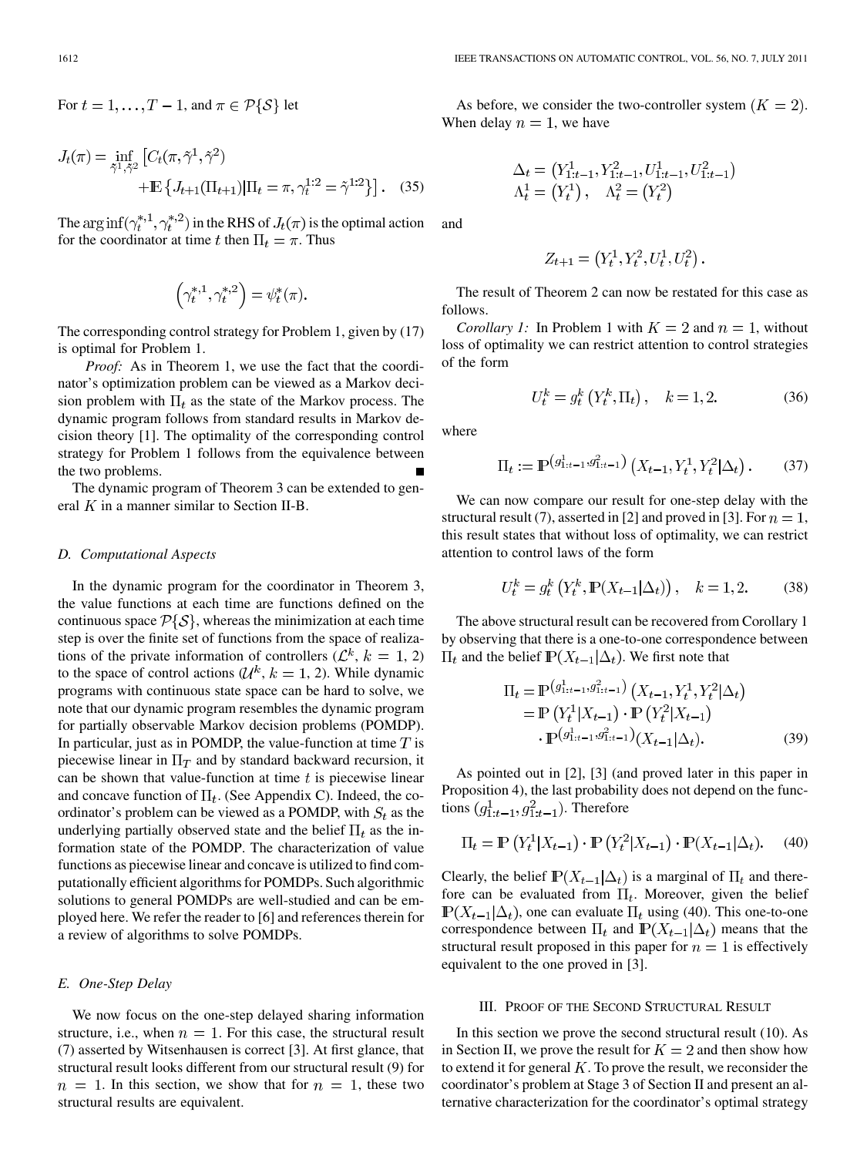For 
$$
t = 1, ..., T - 1
$$
, and  $\pi \in \mathcal{P}{S}$  let

$$
J_t(\pi) = \inf_{\tilde{\gamma}^1, \tilde{\gamma}^2} \left[ C_t(\pi, \tilde{\gamma}^1, \tilde{\gamma}^2) + \mathbb{E} \left\{ J_{t+1}(\Pi_{t+1}) | \Pi_t = \pi, \gamma_t^{1:2} = \tilde{\gamma}^{1:2} \right\} \right].
$$
 (35)

The  $\arg \inf (\gamma_t^{*,1}, \gamma_t^{*,2})$  in the RHS of  $J_t(\pi)$  is the optimal action for the coordinator at time t then  $\Pi_t = \pi$ . Thus

$$
\left(\gamma_t^{*,1},\gamma_t^{*,2}\right) = \psi_t^*(\pi).
$$

The corresponding control strategy for Problem 1, given by (17) is optimal for Problem 1.

*Proof:* As in Theorem 1, we use the fact that the coordinator's optimization problem can be viewed as a Markov decision problem with  $\Pi_t$  as the state of the Markov process. The dynamic program follows from standard results in Markov decision theory [1]. The optimality of the corresponding control strategy for Problem 1 follows from the equivalence between the two problems.

The dynamic program of Theorem 3 can be extended to general  $K$  in a manner similar to Section II-B.

## *D. Computational Aspects*

In the dynamic program for the coordinator in Theorem 3, the value functions at each time are functions defined on the continuous space  $P\{S\}$ , whereas the minimization at each time step is over the finite set of functions from the space of realizations of the private information of controllers ( $\mathcal{L}^k$ ,  $k = 1, 2$ ) to the space of control actions ( $\mathcal{U}^k$ ,  $k = 1, 2$ ). While dynamic programs with continuous state space can be hard to solve, we note that our dynamic program resembles the dynamic program for partially observable Markov decision problems (POMDP). In particular, just as in POMDP, the value-function at time  $T$  is piecewise linear in  $\Pi_T$  and by standard backward recursion, it can be shown that value-function at time  $t$  is piecewise linear and concave function of  $\Pi_t$ . (See Appendix C). Indeed, the coordinator's problem can be viewed as a POMDP, with  $S_t$  as the underlying partially observed state and the belief  $\Pi_t$  as the information state of the POMDP. The characterization of value functions as piecewise linear and concave is utilized to find computationally efficient algorithms for POMDPs. Such algorithmic solutions to general POMDPs are well-studied and can be employed here. We refer the reader to [6] and references therein for a review of algorithms to solve POMDPs.

#### *E. One-Step Delay*

We now focus on the one-step delayed sharing information structure, i.e., when  $n = 1$ . For this case, the structural result (7) asserted by Witsenhausen is correct [3]. At first glance, that structural result looks different from our structural result (9) for  $n = 1$ . In this section, we show that for  $n = 1$ , these two structural results are equivalent.

As before, we consider the two-controller system  $(K = 2)$ . When delay  $n = 1$ , we have

$$
\Delta_t = (Y_{1:t-1}^1, Y_{1:t-1}^2, U_{1:t-1}^1, U_{1:t-1}^2)
$$
  

$$
\Lambda_t^1 = (Y_t^1), \quad \Lambda_t^2 = (Y_t^2)
$$

and

$$
Z_{t+1} = (Y_t^1, Y_t^2, U_t^1, U_t^2).
$$

The result of Theorem 2 can now be restated for this case as follows.

*Corollary 1:* In Problem 1 with  $K = 2$  and  $n = 1$ , without loss of optimality we can restrict attention to control strategies of the form

$$
U_t^k = g_t^k \left( Y_t^k, \Pi_t \right), \quad k = 1, 2. \tag{36}
$$

where

$$
\Pi_t := \mathbb{P}^{\left(g_{1:t-1}^1, g_{1:t-1}^2\right)}\left(X_{t-1}, Y_t^1, Y_t^2 | \Delta_t\right). \tag{37}
$$

We can now compare our result for one-step delay with the structural result (7), asserted in [2] and proved in [3]. For  $n = 1$ , this result states that without loss of optimality, we can restrict attention to control laws of the form

$$
U_t^k = g_t^k \left( Y_t^k, \mathbb{P}(X_{t-1} | \Delta_t) \right), \quad k = 1, 2. \tag{38}
$$

The above structural result can be recovered from Corollary 1 by observing that there is a one-to-one correspondence between  $\Pi_t$  and the belief  $\mathbb{P}(X_{t-1}|\Delta_t)$ . We first note that

$$
\Pi_t = \mathbb{P}^{(g_{1:t-1}^1, g_{1:t-1}^2)} (X_{t-1}, Y_t^1, Y_t^2 | \Delta_t)
$$
  
=  $\mathbb{P} (Y_t^1 | X_{t-1}) \cdot \mathbb{P} (Y_t^2 | X_{t-1})$   
.  $\mathbb{P}^{(g_{1:t-1}^1, g_{1:t-1}^2)} (X_{t-1} | \Delta_t).$  (39)

As pointed out in [2], [3] (and proved later in this paper in Proposition 4), the last probability does not depend on the functions  $(g_{1:t-1}^1, g_{1:t-1}^2)$ . Therefore

$$
\Pi_t = \mathbb{P}\left(Y_t^1 | X_{t-1}\right) \cdot \mathbb{P}\left(Y_t^2 | X_{t-1}\right) \cdot \mathbb{P}(X_{t-1} | \Delta_t). \tag{40}
$$

Clearly, the belief  $\mathbb{P}(X_{t-1}|\Delta_t)$  is a marginal of  $\Pi_t$  and therefore can be evaluated from  $\Pi_t$ . Moreover, given the belief  $\mathbb{P}(X_{t-1}|\Delta_t)$ , one can evaluate  $\Pi_t$  using (40). This one-to-one correspondence between  $\Pi_t$  and  $\mathbb{P}(X_{t-1}|\Delta_t)$  means that the structural result proposed in this paper for  $n = 1$  is effectively equivalent to the one proved in [3].

#### III. PROOF OF THE SECOND STRUCTURAL RESULT

In this section we prove the second structural result (10). As in Section II, we prove the result for  $K = 2$  and then show how to extend it for general  $K$ . To prove the result, we reconsider the coordinator's problem at Stage 3 of Section II and present an alternative characterization for the coordinator's optimal strategy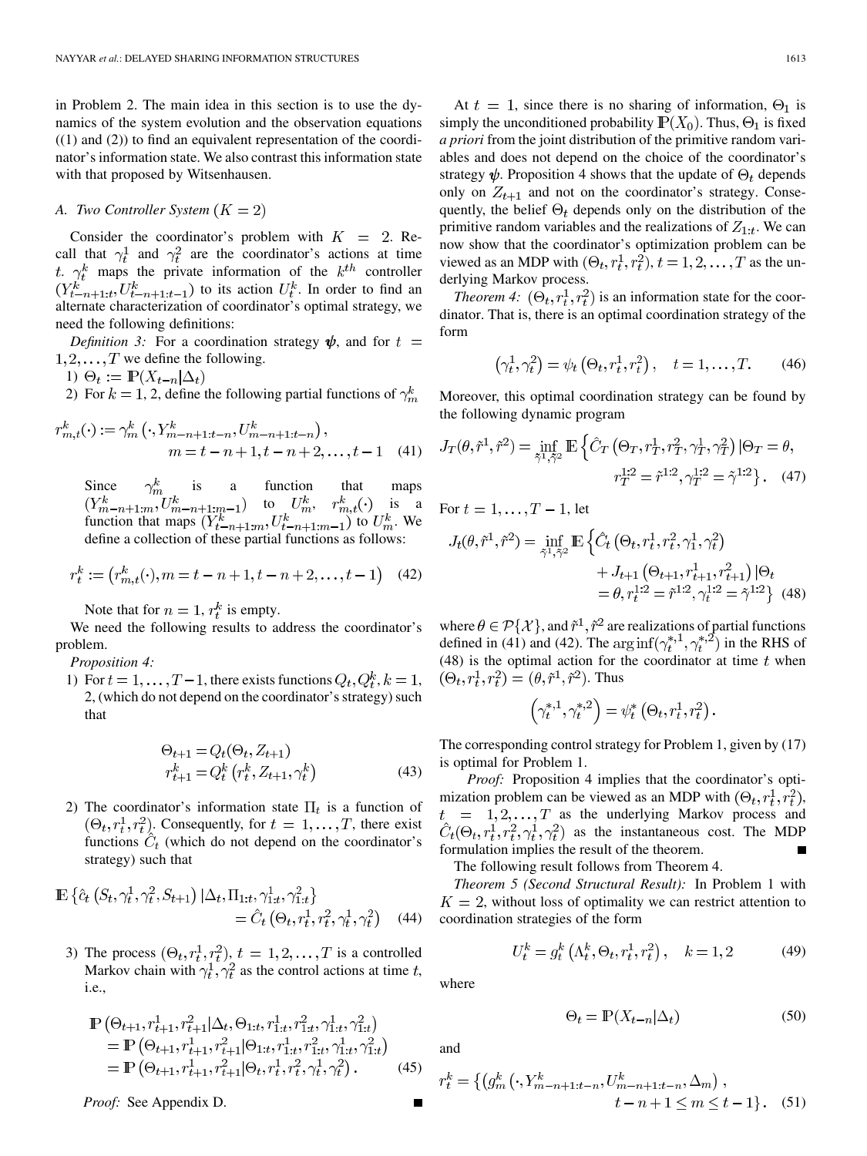in Problem 2. The main idea in this section is to use the dynamics of the system evolution and the observation equations  $((1)$  and  $(2))$  to find an equivalent representation of the coordinator's information state. We also contrast this information state with that proposed by Witsenhausen.

## *A. Two Controller System*

Consider the coordinator's problem with  $K = 2$ . Recall that  $\gamma_t^1$  and  $\gamma_t^2$  are the coordinator's actions at time t.  $\gamma_t^k$  maps the private information of the  $k^{th}$  controller  $(Y_{t-n+1:t}^k, U_{t-n+1:t-1}^k)$  to its action  $U_t^k$ . In order to find an alternate characterization of coordinator's optimal strategy, we need the following definitions:

*Definition 3:* For a coordination strategy  $\psi$ , and for  $t =$  $1, 2, \ldots, T$  we define the following.

1)  $\Theta_t := \mathbb{P}(X_{t-n}|\Delta_t)$ 

2) For  $k = 1, 2$ , define the following partial functions of  $\gamma_m^k$ 

$$
r_{m,t}^k(\cdot) := \gamma_m^k \left( \cdot, Y_{m-n+1:t-n}^k, U_{m-n+1:t-n}^k \right),
$$
  
\n
$$
m = t - n + 1, t - n + 2, \dots, t - 1 \quad (41)
$$

Since  $\gamma_m^k$  is a function that maps to  $U_m^k$ ,  $r_{m,t}^k(\cdot)$  is a function that maps  $(Y_{t-n+1:m}^k, U_{t-n+1:m-1}^k)$  to  $U_m^k$ . We define a collection of these partial functions as follows:

$$
r_t^k := (r_{m,t}^k(\cdot), m = t - n + 1, t - n + 2, \dots, t - 1) \tag{42}
$$

Note that for  $n = 1$ ,  $r_t^k$  is empty.

We need the following results to address the coordinator's problem.

*Proposition 4:*

1) For  $t = 1, \ldots, T-1$ , there exists functions  $Q_t, Q_t^k, k = 1$ , 2, (which do not depend on the coordinator's strategy) such that

$$
\Theta_{t+1} = Q_t(\Theta_t, Z_{t+1})
$$
  
\n
$$
r_{t+1}^k = Q_t^k (r_t^k, Z_{t+1}, \gamma_t^k)
$$
\n(43)

2) The coordinator's information state  $\Pi_t$  is a function of  $(\Theta_t, r_t^1, r_t^2)$ . Consequently, for  $t = 1, \ldots, T$ , there exist functions  $\hat{C}_t$  (which do not depend on the coordinator's strategy) such that

$$
\mathbb{E}\left\{\hat{c}_t\left(S_t,\gamma_t^1,\gamma_t^2,S_{t+1}\right)|\Delta_t,\Pi_{1:t},\gamma_{1:t}^1,\gamma_{1:t}^2\right\} \n= \hat{C}_t\left(\Theta_t,r_t^1,r_t^2,\gamma_t^1,\gamma_t^2\right) \tag{44}
$$

3) The process  $(\Theta_t, r_t^1, r_t^2), t = 1, 2, \ldots, T$  is a controlled Markov chain with  $\gamma_t^1, \gamma_t^2$  as the control actions at time t, i.e.,

$$
\mathbb{P}\left(\Theta_{t+1}, r_{t+1}^1, r_{t+1}^2 | \Delta_t, \Theta_{1:t}, r_{1:t}^1, r_{1:t}^2, \gamma_{1:t}^1, \gamma_{1:t}^2\right) \n= \mathbb{P}\left(\Theta_{t+1}, r_{t+1}^1, r_{t+1}^2 | \Theta_{1:t}, r_{1:t}^1, r_{1:t}^2, \gamma_{1:t}^1, \gamma_{1:t}^2\right) \n= \mathbb{P}\left(\Theta_{t+1}, r_{t+1}^1, r_{t+1}^2 | \Theta_t, r_t^1, r_t^2, \gamma_t^1, \gamma_t^2\right).
$$
\n(45)

*Proof:* See Appendix D.

At  $t = 1$ , since there is no sharing of information,  $\Theta_1$  is simply the unconditioned probability  $\mathbb{P}(X_0)$ . Thus,  $\Theta_1$  is fixed *a priori* from the joint distribution of the primitive random variables and does not depend on the choice of the coordinator's strategy  $\psi$ . Proposition 4 shows that the update of  $\Theta_t$  depends only on  $Z_{t+1}$  and not on the coordinator's strategy. Consequently, the belief  $\Theta_t$  depends only on the distribution of the primitive random variables and the realizations of  $Z_{1:t}$ . We can now show that the coordinator's optimization problem can be viewed as an MDP with  $(\Theta_t, r_t^1, r_t^2), t = 1, 2, \dots, T$  as the underlying Markov process.

*Theorem 4:*  $(\Theta_t, r_t^1, r_t^2)$  is an information state for the coordinator. That is, there is an optimal coordination strategy of the form

$$
\left(\gamma_t^1, \gamma_t^2\right) = \psi_t\left(\Theta_t, r_t^1, r_t^2\right), \quad t = 1, \dots, T. \tag{46}
$$

Moreover, this optimal coordination strategy can be found by the following dynamic program

$$
J_T(\theta, \tilde{r}^1, \tilde{r}^2) = \inf_{\tilde{\gamma}^1, \tilde{\gamma}^2} \mathbb{E} \left\{ \hat{C}_T \left( \Theta_T, r_T^1, r_T^2, \gamma_T^1, \gamma_T^2 \right) | \Theta_T = \theta, \right\}
$$
  

$$
r_T^{1:2} = \tilde{r}^{1:2}, \gamma_T^{1:2} = \tilde{\gamma}^{1:2} \right\}. \quad (47)
$$

For  $t = 1, \ldots, T-1$ , let

$$
J_t(\theta, \tilde{r}^1, \tilde{r}^2) = \inf_{\tilde{\gamma}^1, \tilde{\gamma}^2} \mathbb{E} \left\{ \hat{C}_t \left( \Theta_t, r_t^1, r_t^2, \gamma_1^1, \gamma_t^2 \right) + J_{t+1} \left( \Theta_{t+1}, r_{t+1}^1, r_{t+1}^2 \right) | \Theta_t \right.+ J_{t+1} \left( \Theta_{t+1}, r_{t+1}^1, r_{t+1}^2 \right) | \Theta_t= \theta, r_t^{1:2} = \tilde{r}^{1:2}, \gamma_t^{1:2} = \tilde{\gamma}^{1:2} \right\}
$$
(48)

where  $\theta \in \mathcal{P}\{\mathcal{X}\}\$ , and  $\tilde{r}^1, \tilde{r}^2$  are realizations of partial functions defined in (41) and (42). The  $\arg \inf (\gamma_t^{*,1}, \gamma_t^{*,2})$  in the RHS of (48) is the optimal action for the coordinator at time  $t$  when  $(\Theta_t, r_t^1, r_t^2) = (\theta, \tilde{r}^1, \tilde{r}^2)$ . Thus

$$
\left(\gamma_t^{*,1},\gamma_t^{*,2}\right) = \psi_t^*\left(\Theta_t, r_t^1, r_t^2\right).
$$

The corresponding control strategy for Problem 1, given by (17) is optimal for Problem 1.

*Proof:* Proposition 4 implies that the coordinator's optimization problem can be viewed as an MDP with  $(\Theta_t, r_t^1, r_t^2)$ ,  $t = 1, 2, \dots, T$  as the underlying Markov process and  $\hat{C}_t(\Theta_t, r_t^1, r_t^2, \gamma_t^1, \gamma_t^2)$  as the instantaneous cost. The MDP formulation implies the result of the theorem.

The following result follows from Theorem 4.

*Theorem 5 (Second Structural Result):* In Problem 1 with  $K = 2$ , without loss of optimality we can restrict attention to coordination strategies of the form

$$
U_t^k = g_t^k \left( \Lambda_t^k, \Theta_t, r_t^1, r_t^2 \right), \quad k = 1, 2 \tag{49}
$$

where

$$
\Theta_t = \mathbb{P}(X_{t-n}|\Delta_t) \tag{50}
$$

and

$$
r_t^k = \{ (g_m^k(\cdot, Y_{m-n+1:t-n}^k, U_{m-n+1:t-n}^k, \Delta_m), t - n + 1 \le m \le t - 1 \}.
$$
 (51)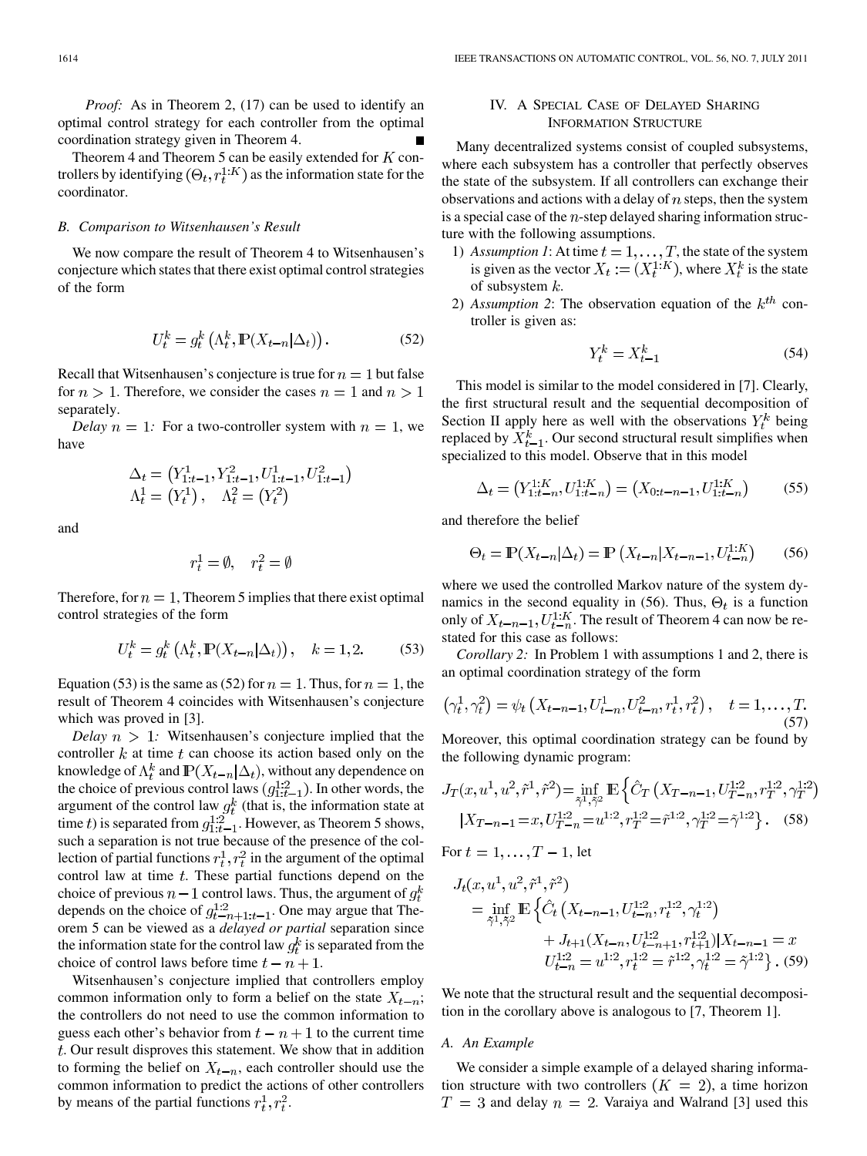*Proof:* As in Theorem 2, (17) can be used to identify an optimal control strategy for each controller from the optimal coordination strategy given in Theorem 4.

Theorem 4 and Theorem 5 can be easily extended for  $K$  controllers by identifying  $(\Theta_t, r_t^{1:K})$  as the information state for the coordinator.

#### *B. Comparison to Witsenhausen's Result*

We now compare the result of Theorem 4 to Witsenhausen's conjecture which states that there exist optimal control strategies of the form

$$
U_t^k = g_t^k \left( \Lambda_t^k, \mathbb{P}(X_{t-n} | \Delta_t) \right).
$$
 (52)

Recall that Witsenhausen's conjecture is true for  $n=1$  but false for  $n > 1$ . Therefore, we consider the cases  $n = 1$  and  $n > 1$ separately.

*Delay*  $n = 1$ : For a two-controller system with  $n = 1$ , we have

$$
\Delta_t = (Y_{1:t-1}^1, Y_{1:t-1}^2, U_{1:t-1}^1, U_{1:t-1}^2)
$$
  

$$
\Lambda_t^1 = (Y_t^1), \quad \Lambda_t^2 = (Y_t^2)
$$

and

$$
r_t^1 = \emptyset, \quad r_t^2 = \emptyset
$$

Therefore, for  $n = 1$ , Theorem 5 implies that there exist optimal control strategies of the form

$$
U_t^k = g_t^k \left( \Lambda_t^k, \mathbb{P}(X_{t-n} | \Delta_t) \right), \quad k = 1, 2. \tag{53}
$$

Equation (53) is the same as (52) for  $n = 1$ . Thus, for  $n = 1$ , the result of Theorem 4 coincides with Witsenhausen's conjecture which was proved in [3].

*Delay*  $n > 1$ : Witsenhausen's conjecture implied that the controller  $k$  at time  $t$  can choose its action based only on the knowledge of  $\Lambda_t^k$  and  $\mathbb{P}(X_{t-n}|\Delta_t)$ , without any dependence on the choice of previous control laws  $(g_{1:t-1}^{1:2})$ . In other words, the argument of the control law  $g_t^k$  (that is, the information state at time t) is separated from  $g_{1:t-1}^{1:2}$ . However, as Theorem 5 shows, such a separation is not true because of the presence of the collection of partial functions  $r_t^1, r_t^2$  in the argument of the optimal control law at time  $t$ . These partial functions depend on the choice of previous  $n-1$  control laws. Thus, the argument of  $g_t^k$ depends on the choice of  $g_{t-n+1:t-1}^{1:2}$ . One may argue that Theorem 5 can be viewed as a *delayed or partial* separation since the information state for the control law  $g_t^k$  is separated from the choice of control laws before time  $t - n + 1$ .

Witsenhausen's conjecture implied that controllers employ common information only to form a belief on the state  $X_{t-n}$ ; the controllers do not need to use the common information to guess each other's behavior from  $t - n + 1$  to the current time  $t$ . Our result disproves this statement. We show that in addition to forming the belief on  $X_{t-n}$ , each controller should use the common information to predict the actions of other controllers by means of the partial functions  $r_t^1, r_t^2$ .

# IV. A SPECIAL CASE OF DELAYED SHARING INFORMATION STRUCTURE

Many decentralized systems consist of coupled subsystems, where each subsystem has a controller that perfectly observes the state of the subsystem. If all controllers can exchange their observations and actions with a delay of  $n$  steps, then the system is a special case of the  $n$ -step delayed sharing information structure with the following assumptions.

- 1) Assumption 1: At time  $t = 1, \ldots, T$ , the state of the system is given as the vector  $X_t := (X_t^{1:K})$ , where  $X_t^k$  is the state of subsystem  $k$ .
- 2) Assumption 2: The observation equation of the  $k^{th}$  controller is given as:

$$
Y_t^k = X_{t-1}^k \tag{54}
$$

This model is similar to the model considered in [7]. Clearly, the first structural result and the sequential decomposition of Section II apply here as well with the observations  $Y_t^k$  being replaced by  $X_{t-1}^k$ . Our second structural result simplifies when specialized to this model. Observe that in this model

$$
\Delta_t = (Y_{1:t-n}^{1:K}, U_{1:t-n}^{1:K}) = (X_{0:t-n-1}, U_{1:t-n}^{1:K})
$$
(55)

and therefore the belief

$$
\Theta_t = \mathbb{P}(X_{t-n}|\Delta_t) = \mathbb{P}\left(X_{t-n}|X_{t-n-1}, U_{t-n}^{1:K}\right)
$$
 (56)

where we used the controlled Markov nature of the system dynamics in the second equality in (56). Thus,  $\Theta_t$  is a function only of  $X_{t-n-1}$ ,  $U_{t-n}^{1:K}$ . The result of Theorem 4 can now be restated for this case as follows:

*Corollary 2:* In Problem 1 with assumptions 1 and 2, there is an optimal coordination strategy of the form

$$
\left(\gamma_t^1, \gamma_t^2\right) = \psi_t\left(X_{t-n-1}, U_{t-n}^1, U_{t-n}^2, r_t^1, r_t^2\right), \quad t = 1, \dots, T. \tag{57}
$$

Moreover, this optimal coordination strategy can be found by the following dynamic program:

$$
J_T(x, u^1, u^2, \tilde{r}^1, \tilde{r}^2) = \inf_{\tilde{\gamma}^1, \tilde{\gamma}^2} \mathbb{E} \left\{ \hat{C}_T \left( X_{T-n-1}, U_{T-n}^{1:2}, r_T^{1:2}, \gamma_T^{1:2} \right) \right\}
$$

$$
|X_{T-n-1} = x, U_{T-n}^{1:2} = u^{1:2}, r_T^{1:2} = \tilde{r}^{1:2}, \gamma_T^{1:2} = \tilde{\gamma}^{1:2} \right\}. \tag{58}
$$

For  $t = 1, \ldots, T-1$ , let

$$
J_t(x, u^1, u^2, \tilde{r}^1, \tilde{r}^2)
$$
  
= 
$$
\inf_{\tilde{\gamma}^1, \tilde{\gamma}^2} \mathbb{E} \left\{ \hat{C}_t \left( X_{t-n-1}, U_{t-n}^{1:2}, r_t^{1:2}, \gamma_t^{1:2} \right) + J_{t+1} (X_{t-n}, U_{t-n+1}^{1:2}, r_{t+1}^{1:2}) | X_{t-n-1} = x \right\}
$$
  

$$
U_{t-n}^{1:2} = u^{1:2}, r_t^{1:2} = \tilde{r}^{1:2}, \gamma_t^{1:2} = \tilde{\gamma}^{1:2} \right\}. (59)
$$

We note that the structural result and the sequential decomposition in the corollary above is analogous to [7, Theorem 1].

#### *A. An Example*

We consider a simple example of a delayed sharing information structure with two controllers  $(K = 2)$ , a time horizon  $T = 3$  and delay  $n = 2$ . Varaiya and Walrand [3] used this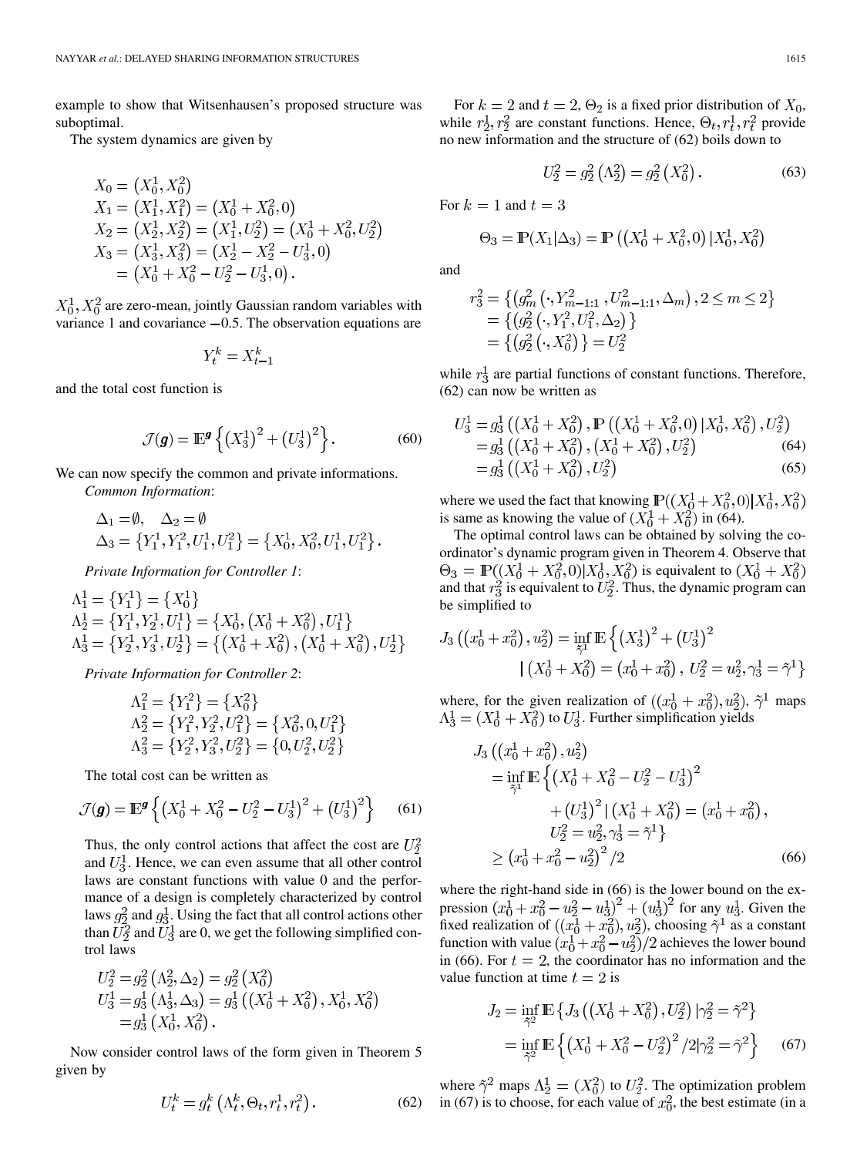example to show that Witsenhausen's proposed structure was suboptimal.

The system dynamics are given by

$$
X_0 = (X_0^1, X_0^2)
$$
  
\n
$$
X_1 = (X_1^1, X_1^2) = (X_0^1 + X_0^2, 0)
$$
  
\n
$$
X_2 = (X_2^1, X_2^2) = (X_1^1, U_2^2) = (X_0^1 + X_0^2, U_2^2)
$$
  
\n
$$
X_3 = (X_3^1, X_3^2) = (X_2^1 - X_2^2 - U_3^1, 0)
$$
  
\n
$$
= (X_0^1 + X_0^2 - U_2^2 - U_3^1, 0).
$$

 $X_0^1, X_0^2$  are zero-mean, jointly Gaussian random variables with variance 1 and covariance  $-0.5$ . The observation equations are

$$
Y_t^k = X_{t-1}^k
$$

and the total cost function is

$$
\mathcal{J}(\mathbf{g}) = \mathbb{E}^{\mathbf{g}} \left\{ \left( X_3^1 \right)^2 + \left( U_3^1 \right)^2 \right\}. \tag{60}
$$

We can now specify the common and private informations. *Common Information*:

$$
\Delta_1 = \emptyset, \quad \Delta_2 = \emptyset
$$
  

$$
\Delta_3 = \left\{ Y_1^1, Y_1^2, U_1^1, U_1^2 \right\} = \left\{ X_0^1, X_0^2, U_1^1, U_1^2 \right\}.
$$

*Private Information for Controller 1*:

$$
\Lambda_1^1 = \{Y_1^1\} = \{X_0^1\}
$$
\n
$$
\Lambda_2^1 = \{Y_1^1, Y_2^1, U_1^1\} = \{X_0^1, (X_0^1 + X_0^2), U_1^1\}
$$
\n
$$
\Lambda_3^1 = \{Y_2^1, Y_3^1, U_2^1\} = \{ (X_0^1 + X_0^2), (X_0^1 + X_0^2), U_2^1\}
$$

*Private Information for Controller 2*:

$$
\Lambda_1^2 = \{Y_1^2\} = \{X_0^2\}
$$
  
\n
$$
\Lambda_2^2 = \{Y_1^2, Y_2^2, U_1^2\} = \{X_0^2, 0, U_1^2\}
$$
  
\n
$$
\Lambda_3^2 = \{Y_2^2, Y_3^2, U_2^2\} = \{0, U_2^2, U_2^2\}
$$

The total cost can be written as

$$
\mathcal{J}(\boldsymbol{g}) = \mathbb{E}^{\boldsymbol{g}} \left\{ \left( X_0^1 + X_0^2 - U_2^2 - U_3^1 \right)^2 + \left( U_3^1 \right)^2 \right\} \tag{61}
$$

Thus, the only control actions that affect the cost are  $U_2^2$ and  $U_3^1$ . Hence, we can even assume that all other control laws are constant functions with value 0 and the performance of a design is completely characterized by control laws  $g_2^2$  and  $g_3^1$ . Using the fact that all control actions other than  $U_2^2$  and  $U_3^1$  are 0, we get the following simplified control laws

$$
U_2^2 = g_2^2 (\Lambda_2^2, \Delta_2) = g_2^2 (X_0^2)
$$
  
\n
$$
U_3^1 = g_3^1 (\Lambda_3^1, \Delta_3) = g_3^1 ((X_0^1 + X_0^2), X_0^1, X_0^2)
$$
  
\n
$$
= g_3^1 (X_0^1, X_0^2).
$$

Now consider control laws of the form given in Theorem 5 given by

$$
U_t^k = g_t^k \left( \Lambda_t^k, \Theta_t, r_t^1, r_t^2 \right). \tag{62}
$$

For  $k = 2$  and  $t = 2$ ,  $\Theta_2$  is a fixed prior distribution of  $X_0$ , while  $r_2^1, r_2^2$  are constant functions. Hence,  $\Theta_t, r_t^1, r_t^2$  provide no new information and the structure of (62) boils down to

$$
U_2^2 = g_2^2 \left(\Lambda_2^2\right) = g_2^2 \left(X_0^2\right). \tag{63}
$$

For  $k=1$  and  $t=3$ 

$$
\Theta_3 = \mathbb{P}(X_1 | \Delta_3) = \mathbb{P}\left(\left(X_0^1 + X_0^2, 0\right) | X_0^1, X_0^2\right)
$$

and

$$
r_3^2 = \{ (g_m^2(\cdot, Y_{m-1:1}^2, U_{m-1:1}^2, \Delta_m), 2 \le m \le 2 \}
$$
  
=  $\{ (g_2^2(\cdot, Y_1^2, U_1^2, \Delta_2) \}$   
=  $\{ (g_2^2(\cdot, X_0^2) \} = U_2^2$ 

while  $r_3^1$  are partial functions of constant functions. Therefore, (62) can now be written as

$$
U_3^1 = g_3^1 \left( (X_0^1 + X_0^2), \mathbb{P} \left( (X_0^1 + X_0^2, 0) \middle| X_0^1, X_0^2 \right), U_2^2 \right)
$$
  
=  $g_3^1 \left( (X_0^1 + X_0^2), (X_0^1 + X_0^2), U_2^2 \right)$  (64)  
=  $g_3^1 \left( (X_0^1 + X_0^2), U_2^2 \right)$  (65)

where we used the fact that knowing  $\mathbb{P}((X_0^1 + X_0^2, 0) | X_0^1, X_0^2)$ is same as knowing the value of  $(X_0^1 + X_0^2)$  in (64).

The optimal control laws can be obtained by solving the coordinator's dynamic program given in Theorem 4. Observe that  $\Theta_3 = \mathbb{P}((X_0^1 + X_0^2, 0) | X_0^1, X_0^2)$  is equivalent to  $(X_0^1 + X_0^2)$ and that  $r_3^2$  is equivalent to  $U_2^2$ . Thus, the dynamic program can be simplified to

$$
J_3\left(\left(x_0^1 + x_0^2\right), u_2^2\right) = \inf_{\tilde{\gamma}^1} \mathbb{E}\left\{\left(X_3^1\right)^2 + \left(U_3^1\right)^2\right\}
$$

$$
|\left(X_0^1 + X_0^2\right) = \left(x_0^1 + x_0^2\right), \ U_2^2 = u_2^2, \gamma_3^1 = \tilde{\gamma}^1\}
$$

where, for the given realization of  $((x_0^1 + x_0^2), u_2^2), \tilde{\gamma}^1$  maps  $\Lambda_3^1 = (X_0^1 + X_0^2)$  to  $U_3^1$ . Further simplification yields

$$
J_3\left(\left(x_0^1 + x_0^2\right), u_2^2\right)
$$
  
=  $\inf_{\tilde{\gamma}^1} \mathbb{E}\left\{\left(X_0^1 + X_0^2 - U_2^2 - U_3^1\right)^2 + \left(U_3^1\right)^2 | \left(X_0^1 + X_0^2\right) = \left(x_0^1 + x_0^2\right),$   
 $U_2^2 = u_2^2, \gamma_3^1 = \tilde{\gamma}^1\right\}$   
 $\geq \left(x_0^1 + x_0^2 - u_2^2\right)^2 / 2$  (66)

where the right-hand side in  $(66)$  is the lower bound on the expression  $(x_0^1 + x_0^2 - u_2^2 - u_3^1)^2 + (u_3^1)^2$  for any  $u_3^1$ . Given the fixed realization of  $((x_0^1+x_0^2), u_2^2)$ , choosing  $\tilde{\gamma}^1$  as a constant function with value  $\left(\frac{x_0^1 + x_0^2 - u_2^2}{2}\right)$  achieves the lower bound in (66). For  $t = 2$ , the coordinator has no information and the value function at time  $t = 2$  is

$$
J_2 = \inf_{\tilde{\gamma}^2} \mathbb{E} \left\{ J_3 \left( \left( X_0^1 + X_0^2 \right), U_2^2 \right) \left| \gamma_2^2 = \tilde{\gamma}^2 \right\} \right\}
$$
  
= 
$$
\inf_{\tilde{\gamma}^2} \mathbb{E} \left\{ \left( X_0^1 + X_0^2 - U_2^2 \right)^2 / 2 | \gamma_2^2 = \tilde{\gamma}^2 \right\} \tag{67}
$$

where  $\tilde{\gamma}^2$  maps  $\Lambda_2^1 = (X_0^2)$  to  $U_2^2$ . The optimization problem in (67) is to choose, for each value of  $x_0^2$ , the best estimate (in a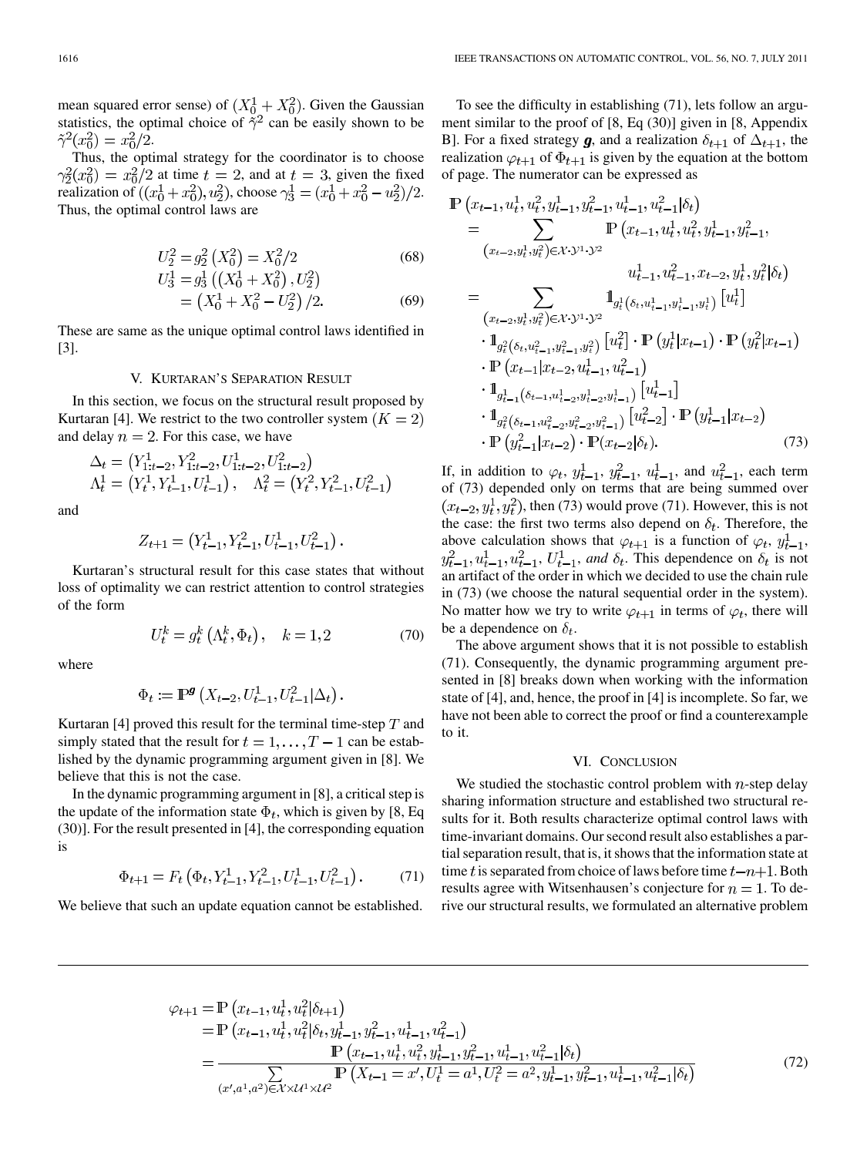mean squared error sense) of  $(X_0^1 + X_0^2)$ . Given the Gaussian statistics, the optimal choice of  $\tilde{\gamma}^2$  can be easily shown to be  $\tilde{\gamma}^2(x_0^2) = x_0^2/2.$ 

Thus, the optimal strategy for the coordinator is to choose  $\gamma_2^2(x_0^2) = x_0^2/2$  at time  $t = 2$ , and at  $t = 3$ , given the fixed realization of  $((x_0^1 + x_0^2), u_2^2)$ , choose  $\gamma_3^1 = (x_0^1 + x_0^2 - u_2^2)/2$ . Thus, the optimal control laws are

$$
U_2^2 = g_2^2 \left( X_0^2 \right) = X_0^2 / 2 \tag{68}
$$
  
\n
$$
U_2^1 = g_2^1 \left( \left( X_0^1 + X_0^2 \right), U_2^2 \right)
$$

$$
3 - 93 ((A0 + A0), C2)
$$
  
=  $(X01 + X02 - U22)/2.$  (69)

These are same as the unique optimal control laws identified in [3].

#### V. KURTARAN'S SEPARATION RESULT

In this section, we focus on the structural result proposed by Kurtaran [4]. We restrict to the two controller system  $(K = 2)$ and delay  $n = 2$ . For this case, we have

$$
\Delta_t = (Y_{1:t-2}^1, Y_{1:t-2}^2, U_{1:t-2}^1, U_{1:t-2}^2)
$$
  

$$
\Lambda_t^1 = (Y_t^1, Y_{t-1}^1, U_{t-1}^1), \quad \Lambda_t^2 = (Y_t^2, Y_{t-1}^2, U_{t-1}^2)
$$

and

$$
Z_{t+1} = (Y_{t-1}^1, Y_{t-1}^2, U_{t-1}^1, U_{t-1}^2).
$$

Kurtaran's structural result for this case states that without loss of optimality we can restrict attention to control strategies of the form

$$
U_t^k = g_t^k \left( \Lambda_t^k, \Phi_t \right), \quad k = 1, 2 \tag{70}
$$

where

$$
\Phi_t := \mathbb{P}^{\mathbf{g}}\left(X_{t-2}, U_{t-1}^1, U_{t-1}^2 | \Delta_t\right).
$$

Kurtaran [4] proved this result for the terminal time-step  $T$  and simply stated that the result for  $t=1,\ldots,T-1$  can be established by the dynamic programming argument given in [8]. We believe that this is not the case.

In the dynamic programming argument in [8], a critical step is the update of the information state  $\Phi_t$ , which is given by [8, Eq (30)]. For the result presented in [4], the corresponding equation is

$$
\Phi_{t+1} = F_t \left( \Phi_t, Y_{t-1}^1, Y_{t-1}^2, U_{t-1}^1, U_{t-1}^2 \right). \tag{71}
$$

We believe that such an update equation cannot be established.

To see the difficulty in establishing (71), lets follow an argument similar to the proof of [8, Eq (30)] given in [8, Appendix B]. For a fixed strategy **g**, and a realization  $\delta_{t+1}$  of  $\Delta_{t+1}$ , the realization  $\varphi_{t+1}$  of  $\Phi_{t+1}$  is given by the equation at the bottom of page. The numerator can be expressed as

$$
\mathbb{P}\left(x_{t-1}, u_t^1, u_t^2, y_{t-1}^1, y_{t-1}^2, u_{t-1}^1, u_{t-1}^2 | \delta_t\right)
$$
\n
$$
= \sum_{(x_{t-2}, y_t^1, y_t^2) \in \mathcal{X} \cdot \mathcal{Y}^1 \cdot \mathcal{Y}^2} \mathbb{P}\left(x_{t-1}, u_t^1, u_t^2, y_{t-1}^1, y_{t-1}^2, y_{t-1}^2, y_{t-1}^2, y_{t-1}^2, y_{t-1}^2, y_{t-1}^2, y_{t-1}^2, y_{t-1}^2, y_{t-1}^2, y_{t-1}^2, y_{t-1}^2, y_{t-1}^2, y_{t-1}^2, y_{t-1}^2, y_{t-1}^2, y_{t-1}^2, y_{t-1}^2, y_{t-1}^2, y_{t-1}^2, y_{t-1}^2, y_{t-1}^2, y_{t-1}^2, y_{t-1}^2, y_{t-1}^2, y_{t-1}^2, y_{t-1}^2, y_{t-1}^2, y_{t-1}^2, y_{t-1}^2, y_{t-1}^2, y_{t-1}^2, y_{t-1}^2, y_{t-1}^2, y_{t-1}^2, y_{t-1}^2, y_{t-1}^2, y_{t-1}^2, y_{t-1}^2, y_{t-1}^2, y_{t-1}^2, y_{t-1}^2, y_{t-1}^2, y_{t-1}^2, y_{t-1}^2, y_{t-1}^2, y_{t-1}^2, y_{t-1}^2, y_{t-1}^2, y_{t-1}^2, y_{t-1}^2, y_{t-1}^2, y_{t-1}^2, y_{t-1}^2, y_{t-1}^2, y_{t-1}^2, y_{t-1}^2, y_{t-1}^2, y_{t-1}^2, y_{t-1}^2, y_{t-1}^2, y_{t-1}^2, y_{t-1}^2, y_{t-1}^2, y_{t-1}^2, y_{t-1}^2, y_{t-1}^2, y_{t-1}^2, y
$$

If, in addition to  $\varphi_t$ ,  $y_{t-1}^1$ ,  $y_{t-1}^2$ ,  $u_{t-1}^1$ , and  $u_{t-1}^2$ , each term of (73) depended only on terms that are being summed over  $(x_{t-2}, y_t^1, y_t^2)$ , then (73) would prove (71). However, this is not the case: the first two terms also depend on  $\delta_t$ . Therefore, the above calculation shows that  $\varphi_{t+1}$  is a function of  $\varphi_t$ ,  $y_{t-1}^1$ ,  $y_{t-1}^2, u_{t-1}^1, u_{t-1}^2, U_{t-1}^1$ , and  $\delta_t$ . This dependence on  $\delta_t$  is not an artifact of the order in which we decided to use the chain rule in (73) (we choose the natural sequential order in the system). No matter how we try to write  $\varphi_{t+1}$  in terms of  $\varphi_t$ , there will be a dependence on  $\delta_t$ .

The above argument shows that it is not possible to establish (71). Consequently, the dynamic programming argument presented in [8] breaks down when working with the information state of [4], and, hence, the proof in [4] is incomplete. So far, we have not been able to correct the proof or find a counterexample to it.

#### VI. CONCLUSION

We studied the stochastic control problem with  $n$ -step delay sharing information structure and established two structural results for it. Both results characterize optimal control laws with time-invariant domains. Our second result also establishes a partial separation result, that is, it shows that the information state at time t is separated from choice of laws before time  $t-n+1$ . Both results agree with Witsenhausen's conjecture for  $n = 1$ . To derive our structural results, we formulated an alternative problem

$$
\varphi_{t+1} = \mathbb{P}\left(x_{t-1}, u_t^1, u_t^2 | \delta_{t+1}\right)
$$
  
\n
$$
= \mathbb{P}\left(x_{t-1}, u_t^1, u_t^2 | \delta_t, y_{t-1}^1, y_{t-1}^2, u_{t-1}^1, u_{t-1}^2\right)
$$
  
\n
$$
= \frac{\mathbb{P}\left(x_{t-1}, u_t^1, u_t^2, y_{t-1}^1, y_{t-1}^2, y_{t-1}^1, u_{t-1}^1, u_{t-1}^2 | \delta_t\right)}{\sum\limits_{(x', a^1, a^2) \in \mathcal{X} \times \mathcal{U}^1 \times \mathcal{U}^2} \mathbb{P}\left(X_{t-1} = x', U_t^1 = a^1, U_t^2 = a^2, y_{t-1}^1, y_{t-1}^2, u_{t-1}^1, u_{t-1}^2 | \delta_t\right)}
$$
\n(72)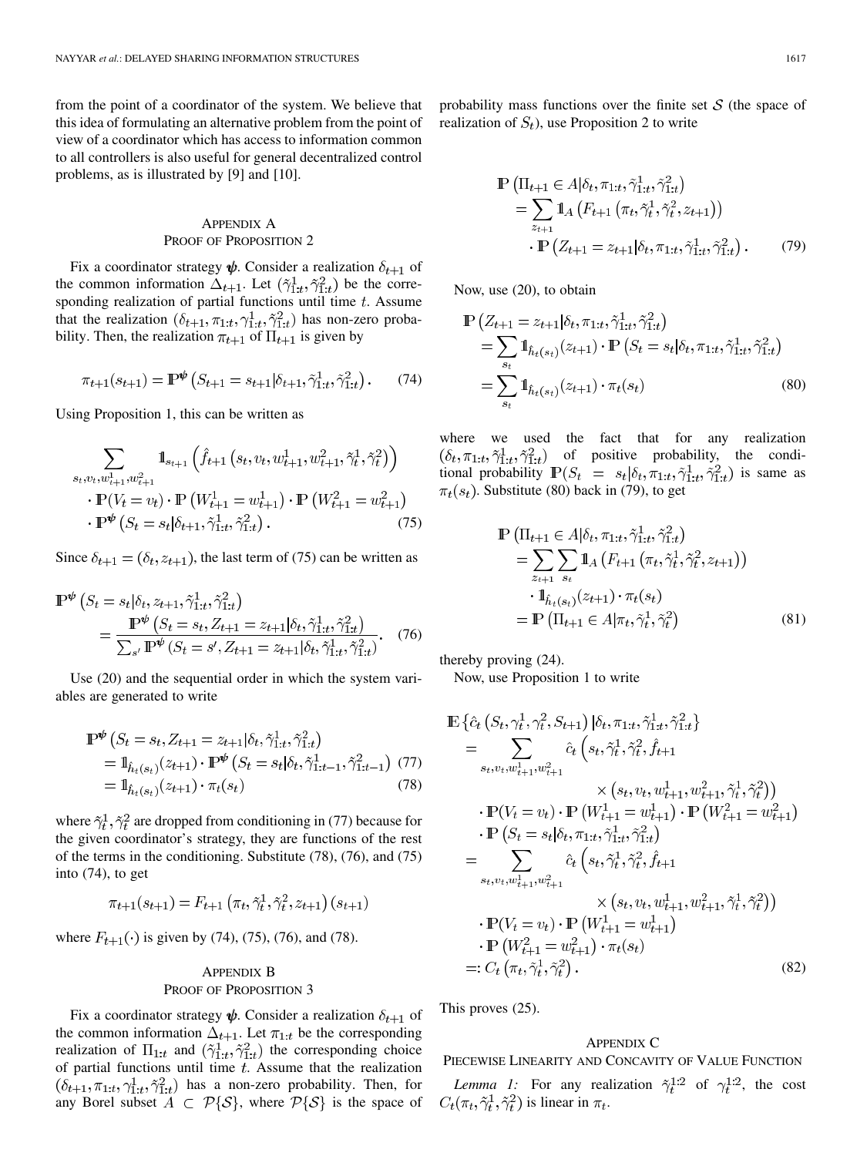from the point of a coordinator of the system. We believe that this idea of formulating an alternative problem from the point of view of a coordinator which has access to information common to all controllers is also useful for general decentralized control problems, as is illustrated by [9] and [10].

# APPENDIX A PROOF OF PROPOSITION 2

Fix a coordinator strategy  $\psi$ . Consider a realization  $\delta_{t+1}$  of the common information  $\Delta_{t+1}$ . Let  $(\tilde{\gamma}_{1:t}^1, \tilde{\gamma}_{1:t}^2)$  be the corresponding realization of partial functions until time  $t$ . Assume that the realization  $(\delta_{t+1}, \pi_{1:t}, \gamma_{1:t}^1, \tilde{\gamma}_{1:t}^2)$  has non-zero probability. Then, the realization  $\pi_{t+1}$  of  $\Pi_{t+1}$  is given by

$$
\pi_{t+1}(s_{t+1}) = \mathbb{P}^{\psi}\left(S_{t+1} = s_{t+1}|\delta_{t+1}, \tilde{\gamma}_{1:t}^1, \tilde{\gamma}_{1:t}^2\right). \tag{74}
$$

Using Proposition 1, this can be written as

$$
\sum_{s_t, v_t, w_{t+1}^1, w_{t+1}^2} \mathbb{1}_{s_{t+1}} \left( \hat{f}_{t+1} \left( s_t, v_t, w_{t+1}^1, w_{t+1}^2, \tilde{\gamma}_t^1, \tilde{\gamma}_t^2 \right) \right) \n\cdot \mathbb{P}(V_t = v_t) \cdot \mathbb{P} \left( W_{t+1}^1 = w_{t+1}^1 \right) \cdot \mathbb{P} \left( W_{t+1}^2 = w_{t+1}^2 \right) \n\cdot \mathbb{P}^{\Psi} \left( S_t = s_t | \delta_{t+1}, \tilde{\gamma}_{1:t}^1, \tilde{\gamma}_{1:t}^2 \right).
$$
\n(75)

Since  $\delta_{t+1} = (\delta_t, z_{t+1})$ , the last term of (75) can be written as

$$
\mathbb{P}^{\psi}\left(S_{t} = s_{t}|\delta_{t}, z_{t+1}, \tilde{\gamma}_{1:t}^{1}, \tilde{\gamma}_{1:t}^{2}\right)
$$
\n
$$
= \frac{\mathbb{P}^{\psi}\left(S_{t} = s_{t}, Z_{t+1} = z_{t+1}|\delta_{t}, \tilde{\gamma}_{1:t}^{1}, \tilde{\gamma}_{1:t}^{2}\right)}{\sum_{s'} \mathbb{P}^{\psi}\left(S_{t} = s', Z_{t+1} = z_{t+1}|\delta_{t}, \tilde{\gamma}_{1:t}^{1}, \tilde{\gamma}_{1:t}^{2}\right)}.
$$
\n(76)

Use (20) and the sequential order in which the system variables are generated to write

$$
\mathbb{P}^{\psi}\left(S_{t} = s_{t}, Z_{t+1} = z_{t+1}|\delta_{t}, \tilde{\gamma}_{1:t}^{1}, \tilde{\gamma}_{1:t}^{2}\right) \n= \mathbb{1}_{\hat{h}_{t}(s_{t})}(z_{t+1}) \cdot \mathbb{P}^{\psi}\left(S_{t} = s_{t}|\delta_{t}, \tilde{\gamma}_{1:t-1}^{1}, \tilde{\gamma}_{1:t-1}^{2}\right)
$$
\n
$$
= \mathbb{1}_{\hat{h}_{t}(s_{t})}(z_{t+1}) \cdot \pi_{t}(s_{t})
$$
\n(78)

where  $\tilde{\gamma}_t^1$ ,  $\tilde{\gamma}_t^2$  are dropped from conditioning in (77) because for the given coordinator's strategy, they are functions of the rest of the terms in the conditioning. Substitute (78), (76), and (75) into (74), to get

$$
\pi_{t+1}(s_{t+1}) = F_{t+1}\left(\pi_t, \tilde{\gamma}_t^1, \tilde{\gamma}_t^2, z_{t+1}\right)(s_{t+1})
$$

where  $F_{t+1}(\cdot)$  is given by (74), (75), (76), and (78).

# APPENDIX B PROOF OF PROPOSITION 3

Fix a coordinator strategy  $\psi$ . Consider a realization  $\delta_{t+1}$  of the common information  $\Delta_{t+1}$ . Let  $\pi_{1:t}$  be the corresponding realization of  $\Pi_{1:t}$  and  $(\tilde{\gamma}_{1:t}^1, \tilde{\gamma}_{1:t}^2)$  the corresponding choice of partial functions until time  $t$ . Assume that the realization  $(\delta_{t+1}, \pi_{1:t}, \gamma_{1:t}^1, \tilde{\gamma}_{1:t}^2)$  has a non-zero probability. Then, for any Borel subset  $A \subset \mathcal{P}{S}$ , where  $\mathcal{P}{S}$  is the space of probability mass functions over the finite set  $S$  (the space of realization of  $S_t$ ), use Proposition 2 to write

$$
\mathbb{P}\left(\Pi_{t+1} \in A | \delta_t, \pi_{1:t}, \tilde{\gamma}_{1:t}^1, \tilde{\gamma}_{1:t}^2\right) \n= \sum_{z_{t+1}} \mathbb{1}_A \left(F_{t+1} \left(\pi_t, \tilde{\gamma}_t^1, \tilde{\gamma}_t^2, z_{t+1}\right)\right) \n\cdot \mathbb{P}\left(Z_{t+1} = z_{t+1} | \delta_t, \pi_{1:t}, \tilde{\gamma}_{1:t}^1, \tilde{\gamma}_{1:t}^2\right).
$$
\n(79)

Now, use (20), to obtain

$$
\mathbb{P}\left(Z_{t+1} = z_{t+1} | \delta_t, \pi_{1:t}, \tilde{\gamma}_{1:t}^1, \tilde{\gamma}_{1:t}^2\right) \n= \sum_{s_t} \mathbb{1}_{\hat{h}_t(s_t)}(z_{t+1}) \cdot \mathbb{P}\left(S_t = s_t | \delta_t, \pi_{1:t}, \tilde{\gamma}_{1:t}^1, \tilde{\gamma}_{1:t}^2\right) \n= \sum_{s_t} \mathbb{1}_{\hat{h}_t(s_t)}(z_{t+1}) \cdot \pi_t(s_t)
$$
\n(80)

where we used the fact that for any realization  $(\delta_t, \pi_{1:t}, \tilde{\gamma}_{1:t}^1, \tilde{\gamma}_{1:t}^2)$  of positive probability, the conditional probability  $\mathbb{P}(S_t = s_t | \delta_t, \pi_{1:t}, \tilde{\gamma}_{1:t}^1, \tilde{\gamma}_{1:t}^2)$  is same as  $\pi_t(s_t)$ . Substitute (80) back in (79), to get

$$
\mathbb{P} (\Pi_{t+1} \in A | \delta_t, \pi_{1:t}, \tilde{\gamma}_{1:t}^1, \tilde{\gamma}_{1:t}^2) \n= \sum_{z_{t+1}} \sum_{s_t} \mathbb{1}_A (F_{t+1} (\pi_t, \tilde{\gamma}_t^1, \tilde{\gamma}_t^2, z_{t+1})) \n\cdot \mathbb{1}_{\hat{h}_t(s_t)} (z_{t+1}) \cdot \pi_t(s_t) \n= \mathbb{P} (\Pi_{t+1} \in A | \pi_t, \tilde{\gamma}_t^1, \tilde{\gamma}_t^2)
$$
\n(81)

thereby proving (24).

Now, use Proposition 1 to write

$$
\mathbb{E}\left\{\hat{c}_{t}\left(S_{t},\gamma_{t}^{1},\gamma_{t}^{2},S_{t+1}\right)\left|\delta_{t},\pi_{1:t},\tilde{\gamma}_{1:t}^{1},\tilde{\gamma}_{1:t}^{2}\right\}\right\}
$$
\n
$$
=\sum_{s_{t},v_{t},w_{t+1}^{1},w_{t+1}^{2}}\hat{c}_{t}\left(s_{t},\tilde{\gamma}_{t}^{1},\tilde{\gamma}_{t}^{2},\hat{f}_{t+1}\right)
$$
\n
$$
\times\left(s_{t},v_{t},w_{t+1}^{1},w_{t+1}^{2},\tilde{\gamma}_{t}^{1},\tilde{\gamma}_{t}^{2}\right)\right)
$$
\n
$$
\cdot\mathbb{P}(V_{t}=v_{t})\cdot\mathbb{P}\left(W_{t+1}^{1}=w_{t+1}^{1}\right)\cdot\mathbb{P}\left(W_{t+1}^{2}=w_{t+1}^{2}\right)
$$
\n
$$
\cdot\mathbb{P}\left(S_{t}=s_{t}|\delta_{t},\pi_{1:t},\tilde{\gamma}_{1:t}^{1},\tilde{\gamma}_{1:t}^{2}\right)
$$
\n
$$
=\sum_{s_{t},v_{t},w_{t+1}^{1},w_{t+1}^{2}}\hat{c}_{t}\left(s_{t},\tilde{\gamma}_{t}^{1},\tilde{\gamma}_{t}^{2},\hat{f}_{t+1}\right)
$$
\n
$$
\times\left(s_{t},v_{t},w_{t+1}^{1},w_{t+1}^{2},\tilde{\gamma}_{t}^{1},\tilde{\gamma}_{t}^{2}\right)
$$
\n
$$
\cdot\mathbb{P}(V_{t}=v_{t})\cdot\mathbb{P}\left(W_{t+1}^{1}=w_{t+1}^{1}\right)
$$
\n
$$
\cdot\mathbb{P}\left(W_{t+1}^{2}=w_{t+1}^{2}\right)\cdot\pi_{t}(s_{t})
$$
\n
$$
=:C_{t}\left(\pi_{t},\tilde{\gamma}_{t}^{1},\tilde{\gamma}_{t}^{2}\right).
$$
\n(82)

This proves (25).

# APPENDIX C

PIECEWISE LINEARITY AND CONCAVITY OF VALUE FUNCTION

*Lemma 1:* For any realization  $\tilde{\gamma}_t^{1:2}$  of  $\gamma_t^{1:2}$ , the cost  $C_t(\pi_t, \tilde{\gamma}_t^1, \tilde{\gamma}_t^2)$  is linear in  $\pi_t$ .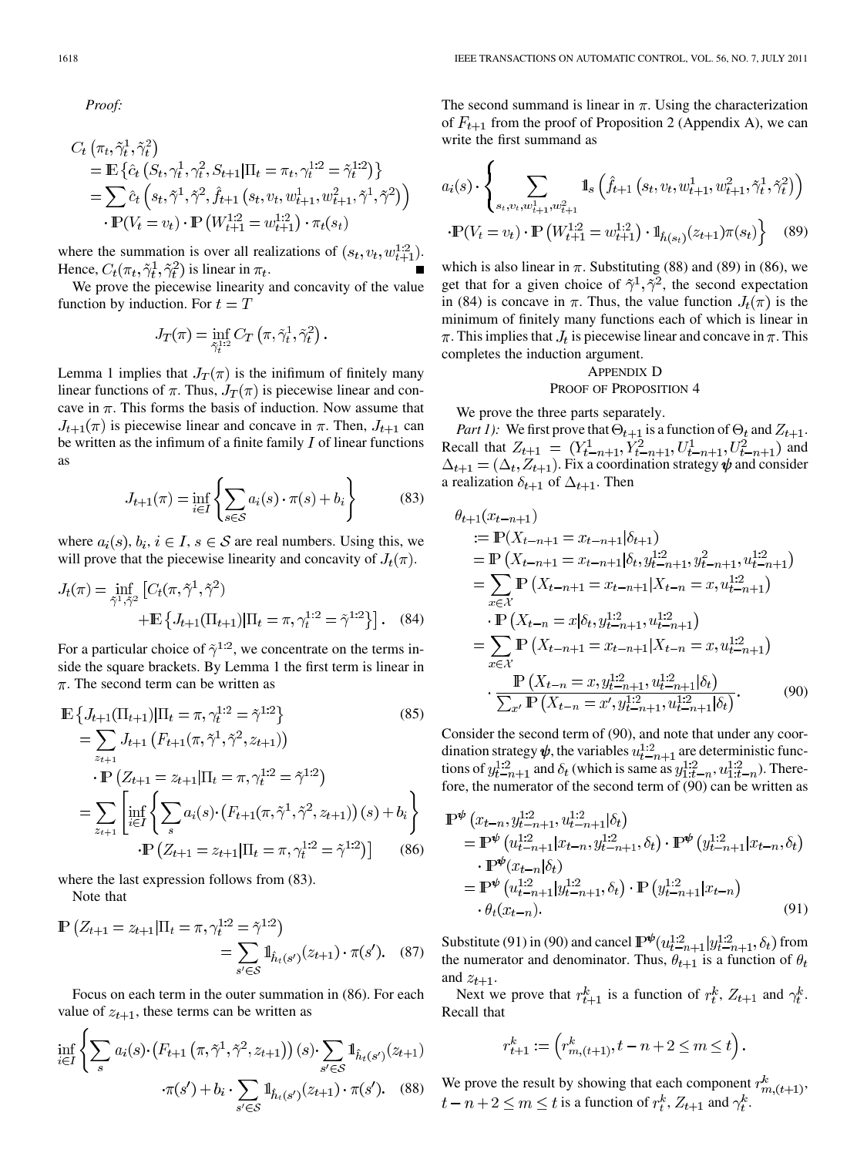*Proof:*

$$
C_t\left(\pi_t, \tilde{\gamma}_t^1, \tilde{\gamma}_t^2\right)
$$
  
=  $\mathbb{E}\left\{\hat{c}_t\left(S_t, \gamma_t^1, \gamma_t^2, S_{t+1} | \Pi_t = \pi_t, \gamma_t^{1:2} = \tilde{\gamma}_t^{1:2}\right)\right\}$   
=  $\sum \hat{c}_t\left(s_t, \tilde{\gamma}^1, \tilde{\gamma}^2, \hat{f}_{t+1}\left(s_t, v_t, w_{t+1}^1, w_{t+1}^2, \tilde{\gamma}^1, \tilde{\gamma}^2\right)\right)$   
 $\cdot \mathbb{P}(V_t = v_t) \cdot \mathbb{P}\left(W_{t+1}^{1:2} = w_{t+1}^{1:2}\right) \cdot \pi_t(s_t)$ 

where the summation is over all realizations of  $(s_t, v_t, w_{t+1}^{1:2})$ . Hence,  $C_t(\pi_t, \tilde{\gamma}_t^1, \tilde{\gamma}_t^2)$  is linear in  $\pi_t$ .

We prove the piecewise linearity and concavity of the value function by induction. For  $t = T$ 

$$
J_T(\pi) = \inf_{\tilde{\gamma}_t^{1:2}} C_T(\pi, \tilde{\gamma}_t^1, \tilde{\gamma}_t^2).
$$

Lemma 1 implies that  $J_T(\pi)$  is the inifimum of finitely many linear functions of  $\pi$ . Thus,  $J_T(\pi)$  is piecewise linear and concave in  $\pi$ . This forms the basis of induction. Now assume that  $J_{t+1}(\pi)$  is piecewise linear and concave in  $\pi$ . Then,  $J_{t+1}$  can be written as the infimum of a finite family  $I$  of linear functions as

$$
J_{t+1}(\pi) = \inf_{i \in I} \left\{ \sum_{s \in \mathcal{S}} a_i(s) \cdot \pi(s) + b_i \right\} \tag{83}
$$

where  $a_i(s), b_i, i \in I, s \in S$  are real numbers. Using this, we will prove that the piecewise linearity and concavity of  $J_t(\pi)$ .

$$
J_t(\pi) = \inf_{\tilde{\gamma}^1, \tilde{\gamma}^2} \left[ C_t(\pi, \tilde{\gamma}^1, \tilde{\gamma}^2) + \mathbb{E} \left\{ J_{t+1}(\Pi_{t+1}) | \Pi_t = \pi, \gamma_t^{1:2} = \tilde{\gamma}^{1:2} \right\} \right].
$$
 (84)

For a particular choice of  $\tilde{\gamma}^{1:2}$ , we concentrate on the terms inside the square brackets. By Lemma 1 the first term is linear in  $\pi$ . The second term can be written as

$$
\mathbb{E}\left\{J_{t+1}(\Pi_{t+1})|\Pi_{t}=\pi,\gamma_{t}^{1:2}=\tilde{\gamma}^{1:2}\right\}
$$
(85)  
\n
$$
=\sum_{z_{t+1}}J_{t+1}\left(F_{t+1}(\pi,\tilde{\gamma}^{1},\tilde{\gamma}^{2},z_{t+1})\right)
$$
  
\n
$$
\cdot \mathbb{P}\left(Z_{t+1}=z_{t+1}|\Pi_{t}=\pi,\gamma_{t}^{1:2}=\tilde{\gamma}^{1:2}\right)
$$
  
\n
$$
=\sum_{z_{t+1}}\left[\inf_{i\in I}\left\{\sum_{s}a_{i}(s)\cdot\left(F_{t+1}(\pi,\tilde{\gamma}^{1},\tilde{\gamma}^{2},z_{t+1})\right)(s)+b_{i}\right\}
$$
  
\n
$$
\cdot \mathbb{P}\left(Z_{t+1}=z_{t+1}|\Pi_{t}=\pi,\gamma_{t}^{1:2}=\tilde{\gamma}^{1:2}\right)\right]
$$
(86)

where the last expression follows from (83).

Note that

$$
\mathbb{P}\left(Z_{t+1} = z_{t+1} | \Pi_t = \pi, \gamma_t^{1:2} = \tilde{\gamma}^{1:2}\right) = \sum_{s' \in \mathcal{S}} \mathbb{1}_{\hat{h}_t(s')} (z_{t+1}) \cdot \pi(s'). \quad (87)
$$

Focus on each term in the outer summation in (86). For each value of  $z_{t+1}$ , these terms can be written as

$$
\inf_{i \in I} \left\{ \sum_{s} a_{i}(s) \cdot (F_{t+1}(\pi, \tilde{\gamma}^{1}, \tilde{\gamma}^{2}, z_{t+1})) (s) \cdot \sum_{s' \in S} 1 \mathbb{1}_{\hat{h}_{t}(s')} (z_{t+1}) \right. \\ \left. \cdot \pi(s') + b_{i} \cdot \sum_{s' \in S} 1 \mathbb{1}_{\hat{h}_{t}(s')} (z_{t+1}) \cdot \pi(s'). \quad (88)
$$

The second summand is linear in  $\pi$ . Using the characterization of  $F_{t+1}$  from the proof of Proposition 2 (Appendix A), we can write the first summand as

$$
a_i(s) \cdot \left\{ \sum_{s_t, v_t, w_{t+1}^1, w_{t+1}^2} \mathbb{1}_s \left( \hat{f}_{t+1} \left( s_t, v_t, w_{t+1}^1, w_{t+1}^2, \tilde{\gamma}_t^1, \tilde{\gamma}_t^2 \right) \right) \right\}
$$

$$
\cdot \mathbb{P}(V_t = v_t) \cdot \mathbb{P}\left( W_{t+1}^{1:2} = w_{t+1}^{1:2} \right) \cdot \mathbb{1}_{\hat{h}(s_t)}(z_{t+1}) \pi(s_t) \right\} \tag{89}
$$

which is also linear in  $\pi$ . Substituting (88) and (89) in (86), we get that for a given choice of  $\tilde{\gamma}^1, \tilde{\gamma}^2$ , the second expectation in (84) is concave in  $\pi$ . Thus, the value function  $J_t(\pi)$  is the minimum of finitely many functions each of which is linear in  $\pi$ . This implies that  $J_t$  is piecewise linear and concave in  $\pi$ . This completes the induction argument.

# APPENDIX D PROOF OF PROPOSITION 4

We prove the three parts separately.

*Part 1):* We first prove that  $\Theta_{t+1}$  is a function of  $\Theta_t$  and  $Z_{t+1}$ . Recall that  $Z_{t+1} = (Y_{t-n+1}^1, Y_{t-n+1}^2, U_{t-n+1}^1, U_{t-n+1}^2)$  and . Fix a coordination strategy  $\psi$  and consider a realization  $\delta_{t+1}$  of  $\Delta_{t+1}$ . Then

$$
\theta_{t+1}(x_{t-n+1})
$$
  
\n
$$
:= \mathbb{P}(X_{t-n+1} = x_{t-n+1}|\delta_{t+1})
$$
  
\n
$$
= \mathbb{P}(X_{t-n+1} = x_{t-n+1}|\delta_t, y_{t-n+1}^{1:2}, y_{t-n+1}^2, u_{t-n+1}^{1:2})
$$
  
\n
$$
= \sum_{x \in \mathcal{X}} \mathbb{P}(X_{t-n+1} = x_{t-n+1}|X_{t-n} = x, u_{t-n+1}^{1:2})
$$
  
\n
$$
\cdot \mathbb{P}(X_{t-n} = x|\delta_t, y_{t-n+1}^{1:2}, u_{t-n+1}^{1:2})
$$
  
\n
$$
= \sum_{x \in \mathcal{X}} \mathbb{P}(X_{t-n+1} = x_{t-n+1}|X_{t-n} = x, u_{t-n+1}^{1:2})
$$
  
\n
$$
\cdot \frac{\mathbb{P}(X_{t-n} = x, y_{t-n+1}^{1:2}, u_{t-n+1}^{1:2}|\delta_t)}{\sum_{x'} \mathbb{P}(X_{t-n} = x', y_{t-n+1}^{1:2}, u_{t-n+1}^{1:2}|\delta_t)}.
$$
(90)

Consider the second term of (90), and note that under any coordination strategy  $\psi$ , the variables  $u_{t-n+1}^{1:2}$  are deterministic functions of  $y_{t-n+1}^{1:2}$  and  $\delta_t$  (which is same as  $y_{1:t-n}^{1:2}$ ,  $u_{1:t-n}^{1:2}$ ). Therefore, the numerator of the second term of (90) can be written as

$$
\mathbb{P}^{\psi}\left(x_{t-n}, y_{t-n+1}^{1:2}, u_{t-n+1}^{1:2} | \delta_{t}\right)
$$
\n
$$
= \mathbb{P}^{\psi}\left(u_{t-n+1}^{1:2} | x_{t-n}, y_{t-n+1}^{1:2}, \delta_{t}\right) \cdot \mathbb{P}^{\psi}\left(y_{t-n+1}^{1:2} | x_{t-n}, \delta_{t}\right)
$$
\n
$$
\cdot \mathbb{P}^{\psi}(x_{t-n} | \delta_{t})
$$
\n
$$
= \mathbb{P}^{\psi}\left(u_{t-n+1}^{1:2} | y_{t-n+1}^{1:2}, \delta_{t}\right) \cdot \mathbb{P}\left(y_{t-n+1}^{1:2} | x_{t-n}\right)
$$
\n
$$
\cdot \theta_{t}(x_{t-n}). \tag{91}
$$

Substitute (91) in (90) and cancel  $\mathbb{P}^{\psi}(u_{t-n+1}^{1:2} | y_{t-n+1}^{1:2}, \delta_t)$  from the numerator and denominator. Thus,  $\theta_{t+1}$  is a function of  $\theta_t$ and  $z_{t+1}$ .

Next we prove that  $r_{t+1}^k$  is a function of  $r_t^k$ ,  $Z_{t+1}$  and  $\gamma_t^k$ . Recall that

$$
r_{t+1}^k := \left( r_{m,(t+1)}^k, t - n + 2 \le m \le t \right).
$$

We prove the result by showing that each component  $r_{m,(t+1)}^k$ ,  $t-n+2 \leq m \leq t$  is a function of  $r_t^k$ ,  $Z_{t+1}$  and  $\gamma_t^k$ .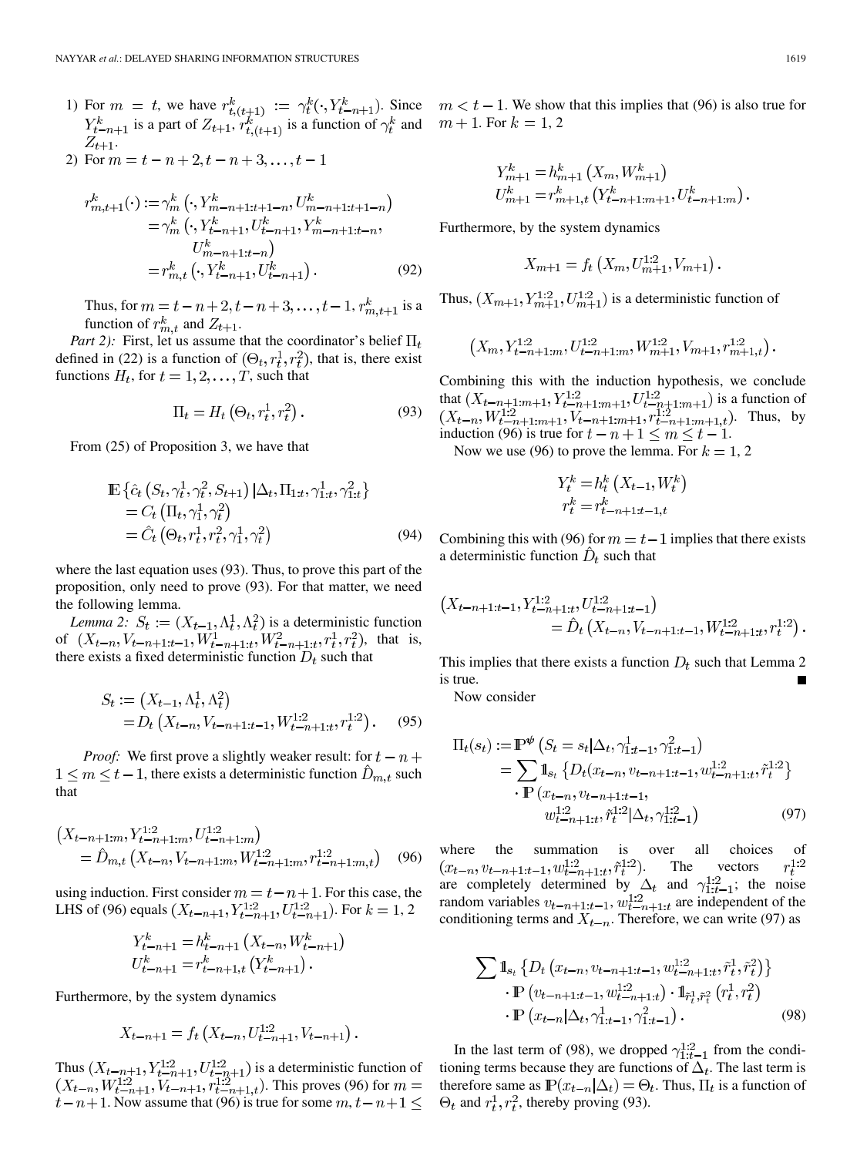- 1) For  $m = t$ , we have  $r_{t}(t+1) := \gamma_t^k(\cdot, Y_{t-n+1}^k)$ . Since is a part of  $Z_{t+1}, r_{t}^k{}_{(t+1)}$  is a function of  $\gamma_t^k$  and .
- 2) For  $m = t n + 2, t n + 3, ..., t 1$

$$
r_{m,t+1}^{k}(\cdot) := \gamma_{m}^{k} \left( \cdot, Y_{m-n+1:t+1-n}^{k}, U_{m-n+1:t+1-n}^{k} \right)
$$
  
=  $\gamma_{m}^{k} \left( \cdot, Y_{t-n+1}^{k}, U_{t-n+1}^{k}, Y_{m-n+1:t-n}^{k} \right)$   

$$
U_{m-n+1:t-n}^{k} \right)
$$
  
=  $r_{m,t}^{k} \left( \cdot, Y_{t-n+1}^{k}, U_{t-n+1}^{k} \right).$  (92)

Thus, for  $m = t - n + 2, t - n + 3, ..., t - 1, r_{m,t+1}^k$  is a function of  $r_{m,t}^k$  and  $Z_{t+1}$ .

*Part 2):* First, let us assume that the coordinator's belief  $\Pi_t$ defined in (22) is a function of  $(\Theta_t, r_t^1, r_t^2)$ , that is, there exist functions  $H_t$ , for  $t = 1, 2, ..., T$ , such that

$$
\Pi_t = H_t \left( \Theta_t, r_t^1, r_t^2 \right). \tag{93}
$$

From (25) of Proposition 3, we have that

$$
\mathbb{E}\left\{\hat{c}_t\left(S_t,\gamma_t^1,\gamma_t^2,S_{t+1}\right)|\Delta_t,\Pi_{1:t},\gamma_{1:t}^1,\gamma_{1:t}^2\right\}\n= C_t\left(\Pi_t,\gamma_1^1,\gamma_t^2\right)\n= \hat{C}_t\left(\Theta_t,r_t^1,r_t^2,\gamma_1^1,\gamma_t^2\right)
$$
\n(94)

where the last equation uses (93). Thus, to prove this part of the proposition, only need to prove (93). For that matter, we need the following lemma.

*Lemma 2:*  $S_t := (X_{t-1}, \Lambda_t^1, \Lambda_t^2)$  is a deterministic function of  $(X_{t-n}, V_{t-n+1:t-1}, W_{t-n+1:t}^1, W_{t-n+1:t}^2, r_t^1, r_t^2)$ , that is, there exists a fixed deterministic function  $D_t$  such that

$$
S_t := (X_{t-1}, \Lambda_t^1, \Lambda_t^2)
$$
  
=  $D_t(X_{t-n}, V_{t-n+1:t-1}, W_{t-n+1:t}^{1:2}, r_t^{1:2})$ . (95)

*Proof:* We first prove a slightly weaker result: for  $t - n$  +  $1 \leq m \leq t-1$ , there exists a deterministic function  $D_{m,t}$  such that

$$
\begin{aligned} \left(X_{t-n+1:m}, Y_{t-n+1:m}^{1:2}, U_{t-n+1:m}^{1:2}\right) \\ &= \hat{D}_{m,t} \left(X_{t-n}, V_{t-n+1:m}, W_{t-n+1:m}^{1:2}, r_{t-n+1:m,t}^{1:2}\right) \end{aligned} \tag{96}
$$

using induction. First consider  $m = t - n + 1$ . For this case, the LHS of (96) equals  $(X_{t-n+1}, Y_{t-n+1}^{1:2}, U_{t-n+1}^{1:2})$ . For  $k = 1, 2$ 

$$
Y_{t-n+1}^k = h_{t-n+1}^k (X_{t-n}, W_{t-n+1}^k)
$$
  

$$
U_{t-n+1}^k = r_{t-n+1,t}^k (Y_{t-n+1}^k).
$$

Furthermore, by the system dynamics

$$
X_{t-n+1} = f_t\left(X_{t-n}, U_{t-n+1}^{1:2}, V_{t-n+1}\right).
$$

Thus  $(X_{t-n+1}, Y_{t-n+1}^{1:2}, U_{t-n+1}^{1:2})$  is a deterministic function of . This proves (96) for  $t-n+1$ . Now assume that (96) is true for some  $m, t-n+1 \leq$ 

. We show that this implies that (96) is also true for . For  $k = 1, 2$ 

$$
Y_{m+1}^k = h_{m+1}^k (X_m, W_{m+1}^k)
$$
  

$$
U_{m+1}^k = r_{m+1,t}^k (Y_{t-n+1:m+1}^k, U_{t-n+1:m}^k).
$$

Furthermore, by the system dynamics

$$
X_{m+1} = f_t\left(X_m, U_{m+1}^{1:2}, V_{m+1}\right).
$$

Thus,  $(X_{m+1}, Y_{m+1}^{1:2}, U_{m+1}^{1:2})$  is a deterministic function of

$$
(X_m, Y_{t-n+1:m}^{1:2}, U_{t-n+1:m}^{1:2}, W_{m+1}^{1:2}, V_{m+1}, r_{m+1,t}^{1:2})
$$

Combining this with the induction hypothesis, we conclude that  $(X_{t-n+1:m+1}, Y_{t-n+1:m+1}^{1:2}, U_{t-n+1:m+1}^{1:2})$  is a function of . Thus, by induction (96) is true for  $t - n + 1 \le m \le t - 1$ .

Now we use (96) to prove the lemma. For  $k = 1, 2$ 

$$
Y_t^k = h_t^k \left( X_{t-1}, W_t^k \right)
$$
  

$$
r_t^k = r_{t-n+1:t-1,t}^k
$$

Combining this with (96) for  $m = t - 1$  implies that there exists a deterministic function  $\hat{D}_t$  such that

$$
(X_{t-n+1:t-1}, Y_{t-n+1:t}^{1:2}, U_{t-n+1:t-1}^{1:2})
$$
  
=  $\hat{D}_t (X_{t-n}, V_{t-n+1:t-1}, W_{t-n+1:t}^{1:2}, r_t^{1:2}).$ 

This implies that there exists a function  $D_t$  such that Lemma 2 is true.

Now consider

$$
\Pi_t(s_t) := \mathbb{P}^{\psi}\left(S_t = s_t | \Delta_t, \gamma_{1:t-1}^1, \gamma_{1:t-1}^2\right)
$$
\n
$$
= \sum \mathbb{1}_{s_t} \left\{ D_t(x_{t-n}, v_{t-n+1:t-1}, w_{t-n+1:t}^{1:2}, \tilde{r}_t^{1:2} \right\}
$$
\n
$$
\cdot \mathbb{P}\left(x_{t-n}, v_{t-n+1:t-1}, \dots, w_{t-n+1:t}^{1:2} | \Delta_t, \gamma_{1:t-1}^{1:2}\right) \tag{97}
$$

where the summation is over all choices of . The vectors are completely determined by  $\Delta_t$  and  $\gamma_{1:t-1}^{1:2}$ ; the noise random variables  $v_{t-n+1:t-1}$ ,  $w_{t-n+1:t}^{1:2}$  are independent of the conditioning terms and  $X_{t-n}$ . Therefore, we can write (97) as

$$
\sum \mathbb{1}_{s_t} \{ D_t \left( x_{t-n}, v_{t-n+1:t-1}, w_{t-n+1:t}^{1:2}, \tilde{r}_t^1, \tilde{r}_t^2 \right) \} \cdot \mathbb{P} \left( v_{t-n+1:t-1}, w_{t-n+1:t}^{1:2} \right) \cdot \mathbb{1}_{\tilde{r}_t^1, \tilde{r}_t^2} \left( r_t^1, r_t^2 \right) \cdot \mathbb{P} \left( x_{t-n} | \Delta_t, \gamma_{1:t-1}^1, \gamma_{1:t-1}^2 \right). \tag{98}
$$

In the last term of (98), we dropped  $\gamma_{1:t-1}^{1:2}$  from the conditioning terms because they are functions of  $\Delta_t$ . The last term is therefore same as  $\mathbb{P}(x_{t-n}|\Delta_t) = \Theta_t$ . Thus,  $\Pi_t$  is a function of  $\Theta_t$  and  $r_t^1, r_t^2$ , thereby proving (93).